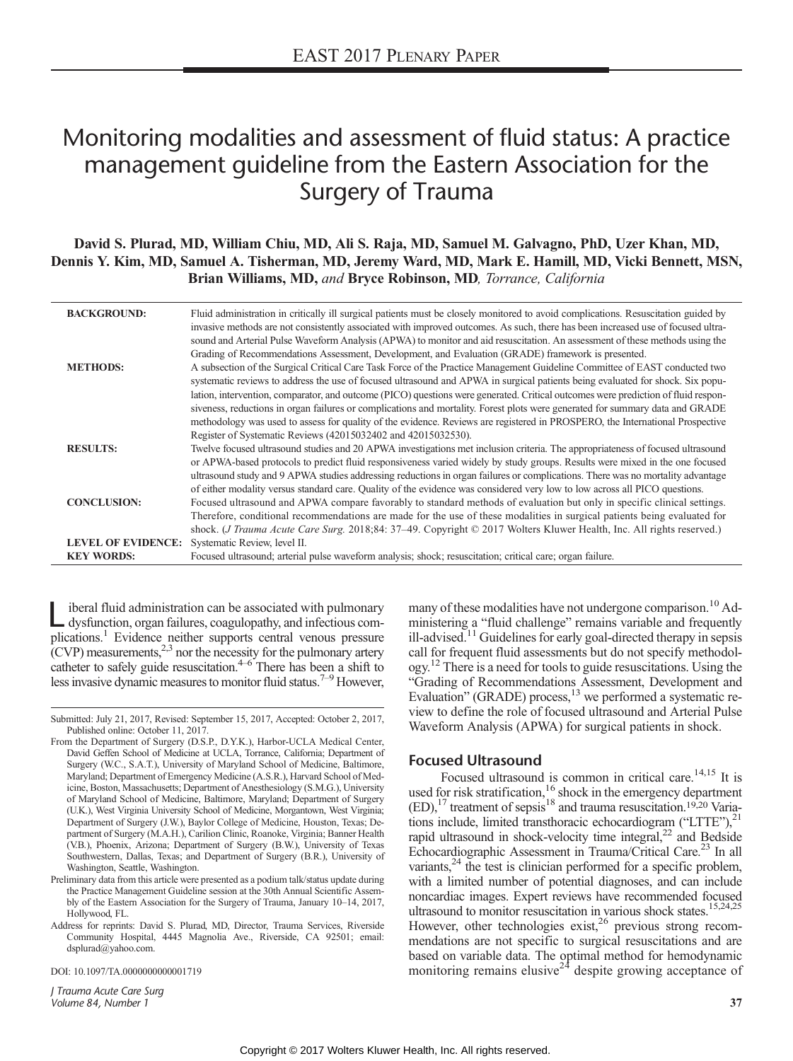# Monitoring modalities and assessment of fluid status: A practice management guideline from the Eastern Association for the Surgery of Trauma

David S. Plurad, MD, William Chiu, MD, Ali S. Raja, MD, Samuel M. Galvagno, PhD, Uzer Khan, MD, Dennis Y. Kim, MD, Samuel A. Tisherman, MD, Jeremy Ward, MD, Mark E. Hamill, MD, Vicki Bennett, MSN, Brian Williams, MD, and Bryce Robinson, MD, Torrance, California

| <b>BACKGROUND:</b>        | Fluid administration in critically ill surgical patients must be closely monitored to avoid complications. Resuscitation guided by<br>invasive methods are not consistently associated with improved outcomes. As such, there has been increased use of focused ultra- |
|---------------------------|------------------------------------------------------------------------------------------------------------------------------------------------------------------------------------------------------------------------------------------------------------------------|
|                           | sound and Arterial Pulse Waveform Analysis (APWA) to monitor and aid resuscitation. An assessment of these methods using the                                                                                                                                           |
|                           | Grading of Recommendations Assessment, Development, and Evaluation (GRADE) framework is presented.                                                                                                                                                                     |
| <b>METHODS:</b>           | A subsection of the Surgical Critical Care Task Force of the Practice Management Guideline Committee of EAST conducted two                                                                                                                                             |
|                           | systematic reviews to address the use of focused ultrasound and APWA in surgical patients being evaluated for shock. Six popu-                                                                                                                                         |
|                           | lation, intervention, comparator, and outcome (PICO) questions were generated. Critical outcomes were prediction of fluid respon-                                                                                                                                      |
|                           | siveness, reductions in organ failures or complications and mortality. Forest plots were generated for summary data and GRADE                                                                                                                                          |
|                           | methodology was used to assess for quality of the evidence. Reviews are registered in PROSPERO, the International Prospective                                                                                                                                          |
|                           | Register of Systematic Reviews (42015032402 and 42015032530).                                                                                                                                                                                                          |
| <b>RESULTS:</b>           | Twelve focused ultrasound studies and 20 APWA investigations met inclusion criteria. The appropriateness of focused ultrasound                                                                                                                                         |
|                           | or APWA-based protocols to predict fluid responsiveness varied widely by study groups. Results were mixed in the one focused                                                                                                                                           |
|                           | ultrasound study and 9 APWA studies addressing reductions in organ failures or complications. There was no mortality advantage                                                                                                                                         |
|                           | of either modality versus standard care. Quality of the evidence was considered very low to low across all PICO questions.                                                                                                                                             |
| <b>CONCLUSION:</b>        | Focused ultrasound and APWA compare favorably to standard methods of evaluation but only in specific clinical settings.                                                                                                                                                |
|                           | Therefore, conditional recommendations are made for the use of these modalities in surgical patients being evaluated for                                                                                                                                               |
|                           | shock. ( <i>J Trauma Acute Care Surg.</i> 2018;84: 37–49. Copyright © 2017 Wolters Kluwer Health, Inc. All rights reserved.)                                                                                                                                           |
| <b>LEVEL OF EVIDENCE:</b> | Systematic Review, level II.                                                                                                                                                                                                                                           |
| <b>KEY WORDS:</b>         | Focused ultrasound; arterial pulse waveform analysis; shock; resuscitation; critical care; organ failure.                                                                                                                                                              |

Liberal fluid administration can be associated with pulmonary<br>dysfunction, organ failures, coagulopathy, and infectious complications.<sup>1</sup> Evidence neither supports central venous pressure  $(CVP)$  measurements,<sup>2,3</sup> nor the necessity for the pulmonary artery catheter to safely guide resuscitation. $4-6$  There has been a shift to less invasive dynamic measures to monitor fluid status.<sup>7-9</sup> However,

DOI: 10.1097/TA.0000000000001719

J Trauma Acute Care Surg Volume 84, Number 1 37

many of these modalities have not undergone comparison.<sup>10</sup> Administering a "fluid challenge" remains variable and frequently ill-advised.<sup>11</sup> Guidelines for early goal-directed therapy in sepsis call for frequent fluid assessments but do not specify methodology.12 There is a need for tools to guide resuscitations. Using the "Grading of Recommendations Assessment, Development and Evaluation" (GRADE) process,<sup>13</sup> we performed a systematic review to define the role of focused ultrasound and Arterial Pulse Waveform Analysis (APWA) for surgical patients in shock.

#### Focused Ultrasound

Focused ultrasound is common in critical care.<sup>14,15</sup> It is used for risk stratification,<sup>16</sup> shock in the emergency department  $(ED)$ ,<sup>17</sup> treatment of sepsis<sup>18</sup> and trauma resuscitation.<sup>19,20</sup> Variations include, limited transthoracic echocardiogram ("LTTE"), $^{21}$ rapid ultrasound in shock-velocity time integral,<sup>22</sup> and Bedside Echocardiographic Assessment in Trauma/Critical Care.<sup>23</sup> In all variants,  $24$  the test is clinician performed for a specific problem. with a limited number of potential diagnoses, and can include noncardiac images. Expert reviews have recommended focused ultrasound to monitor resuscitation in various shock states.<sup>15,24,25</sup> However, other technologies exist,  $2^6$  previous strong recommendations are not specific to surgical resuscitations and are based on variable data. The optimal method for hemodynamic monitoring remains elusive<sup>24</sup> despite growing acceptance of

Submitted: July 21, 2017, Revised: September 15, 2017, Accepted: October 2, 2017, Published online: October 11, 2017.

From the Department of Surgery (D.S.P., D.Y.K.), Harbor-UCLA Medical Center, David Geffen School of Medicine at UCLA, Torrance, California; Department of Surgery (W.C., S.A.T.), University of Maryland School of Medicine, Baltimore, Maryland; Department of Emergency Medicine (A.S.R.), Harvard School of Medicine, Boston, Massachusetts; Department of Anesthesiology (S.M.G.), University of Maryland School of Medicine, Baltimore, Maryland; Department of Surgery (U.K.), West Virginia University School of Medicine, Morgantown, West Virginia; Department of Surgery (J.W.), Baylor College of Medicine, Houston, Texas; Department of Surgery (M.A.H.), Carilion Clinic, Roanoke, Virginia; Banner Health (V.B.), Phoenix, Arizona; Department of Surgery (B.W.), University of Texas Southwestern, Dallas, Texas; and Department of Surgery (B.R.), University of Washington, Seattle, Washington.

Preliminary data from this article were presented as a podium talk/status update during the Practice Management Guideline session at the 30th Annual Scientific Assembly of the Eastern Association for the Surgery of Trauma, January 10–14, 2017, Hollywood, FL.

Address for reprints: David S. Plurad, MD, Director, Trauma Services, Riverside Community Hospital, 4445 Magnolia Ave., Riverside, CA 92501; email: [dsplurad@yahoo.com.](mailto:dsplurad@yahoo.com)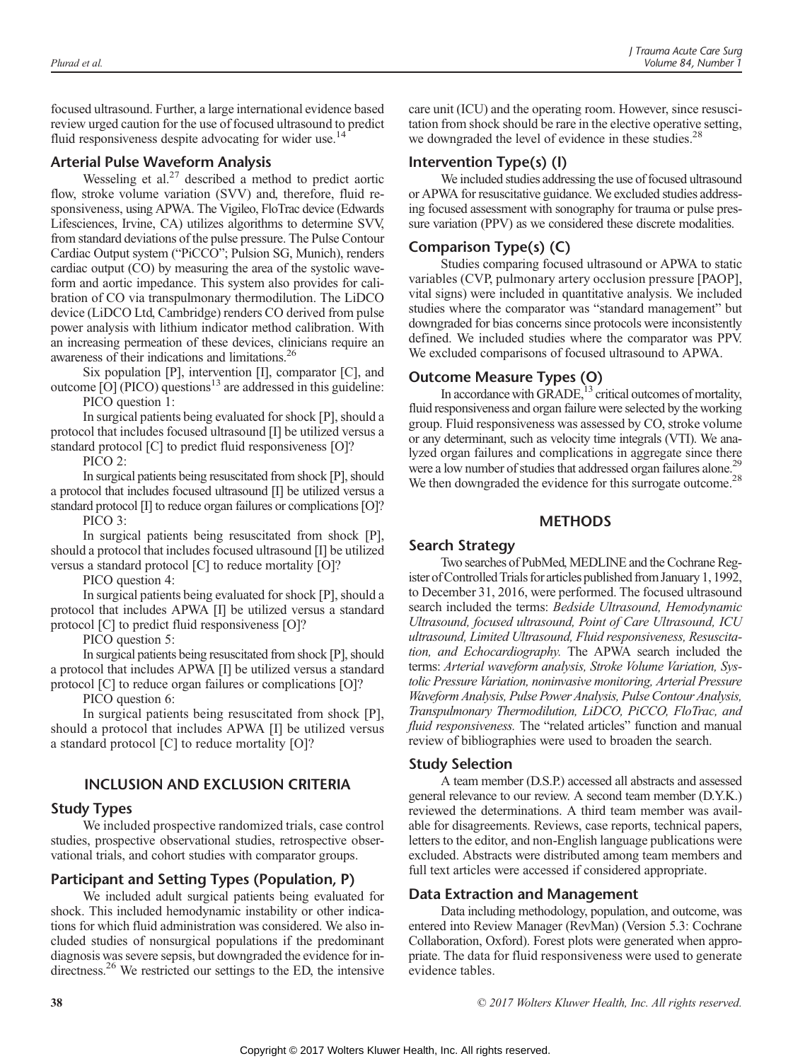focused ultrasound. Further, a large international evidence based review urged caution for the use of focused ultrasound to predict fluid responsiveness despite advocating for wider use.<sup>14</sup>

#### Arterial Pulse Waveform Analysis

Wesseling et al. $2<sup>7</sup>$  described a method to predict aortic flow, stroke volume variation (SVV) and, therefore, fluid responsiveness, using APWA. The Vigileo, FloTrac device (Edwards Lifesciences, Irvine, CA) utilizes algorithms to determine SVV, from standard deviations of the pulse pressure. The Pulse Contour Cardiac Output system ("PiCCO"; Pulsion SG, Munich), renders cardiac output (CO) by measuring the area of the systolic waveform and aortic impedance. This system also provides for calibration of CO via transpulmonary thermodilution. The LiDCO device (LiDCO Ltd, Cambridge) renders CO derived from pulse power analysis with lithium indicator method calibration. With an increasing permeation of these devices, clinicians require an awareness of their indications and limitations.26

Six population [P], intervention [I], comparator [C], and outcome  $[O]$  (PICO) questions<sup>13</sup> are addressed in this guideline:

PICO question 1:

In surgical patients being evaluated for shock [P], should a protocol that includes focused ultrasound [I] be utilized versus a standard protocol [C] to predict fluid responsiveness [O]?

PICO 2:

In surgical patients being resuscitated from shock [P], should a protocol that includes focused ultrasound [I] be utilized versus a standard protocol [I] to reduce organ failures or complications [O]? PICO 3:

In surgical patients being resuscitated from shock [P], should a protocol that includes focused ultrasound [I] be utilized versus a standard protocol [C] to reduce mortality [O]?

PICO question 4:

In surgical patients being evaluated for shock [P], should a protocol that includes APWA [I] be utilized versus a standard protocol [C] to predict fluid responsiveness [O]?

PICO question 5:

In surgical patients being resuscitated from shock [P], should a protocol that includes APWA [I] be utilized versus a standard protocol [C] to reduce organ failures or complications [O]?

PICO question 6:

In surgical patients being resuscitated from shock [P], should a protocol that includes APWA [I] be utilized versus a standard protocol [C] to reduce mortality [O]?

# INCLUSION AND EXCLUSION CRITERIA

## Study Types

We included prospective randomized trials, case control studies, prospective observational studies, retrospective observational trials, and cohort studies with comparator groups.

# Participant and Setting Types (Population, P)

We included adult surgical patients being evaluated for shock. This included hemodynamic instability or other indications for which fluid administration was considered. We also included studies of nonsurgical populations if the predominant diagnosis was severe sepsis, but downgraded the evidence for indirectness.<sup>26</sup> We restricted our settings to the ED, the intensive

care unit (ICU) and the operating room. However, since resuscitation from shock should be rare in the elective operative setting, we downgraded the level of evidence in these studies.<sup>28</sup>

# Intervention Type(s) (I)

We included studies addressing the use of focused ultrasound or APWA for resuscitative guidance. We excluded studies addressing focused assessment with sonography for trauma or pulse pressure variation (PPV) as we considered these discrete modalities.

# Comparison Type(s) (C)

Studies comparing focused ultrasound or APWA to static variables (CVP, pulmonary artery occlusion pressure [PAOP], vital signs) were included in quantitative analysis. We included studies where the comparator was "standard management" but downgraded for bias concerns since protocols were inconsistently defined. We included studies where the comparator was PPV. We excluded comparisons of focused ultrasound to APWA.

# Outcome Measure Types (O)

In accordance with GRADE, $^{13}$  critical outcomes of mortality, fluid responsiveness and organ failure were selected by the working group. Fluid responsiveness was assessed by CO, stroke volume or any determinant, such as velocity time integrals (VTI). We analyzed organ failures and complications in aggregate since there were a low number of studies that addressed organ failures alone.<sup>29</sup> We then downgraded the evidence for this surrogate outcome.<sup>28</sup>

## METHODS

## Search Strategy

Two searches of PubMed, MEDLINE and the Cochrane Register ofControlled Trials for articles published from January 1, 1992, to December 31, 2016, were performed. The focused ultrasound search included the terms: Bedside Ultrasound, Hemodynamic Ultrasound, focused ultrasound, Point of Care Ultrasound, ICU ultrasound, Limited Ultrasound, Fluid responsiveness, Resuscitation, and Echocardiography. The APWA search included the terms: Arterial waveform analysis, Stroke Volume Variation, Systolic Pressure Variation, noninvasive monitoring, Arterial Pressure Waveform Analysis, Pulse Power Analysis, Pulse Contour Analysis, Transpulmonary Thermodilution, LiDCO, PiCCO, FloTrac, and fluid responsiveness. The "related articles" function and manual review of bibliographies were used to broaden the search.

## Study Selection

A team member (D.S.P.) accessed all abstracts and assessed general relevance to our review. A second team member (D.Y.K.) reviewed the determinations. A third team member was available for disagreements. Reviews, case reports, technical papers, letters to the editor, and non-English language publications were excluded. Abstracts were distributed among team members and full text articles were accessed if considered appropriate.

## Data Extraction and Management

Data including methodology, population, and outcome, was entered into Review Manager (RevMan) (Version 5.3: Cochrane Collaboration, Oxford). Forest plots were generated when appropriate. The data for fluid responsiveness were used to generate evidence tables.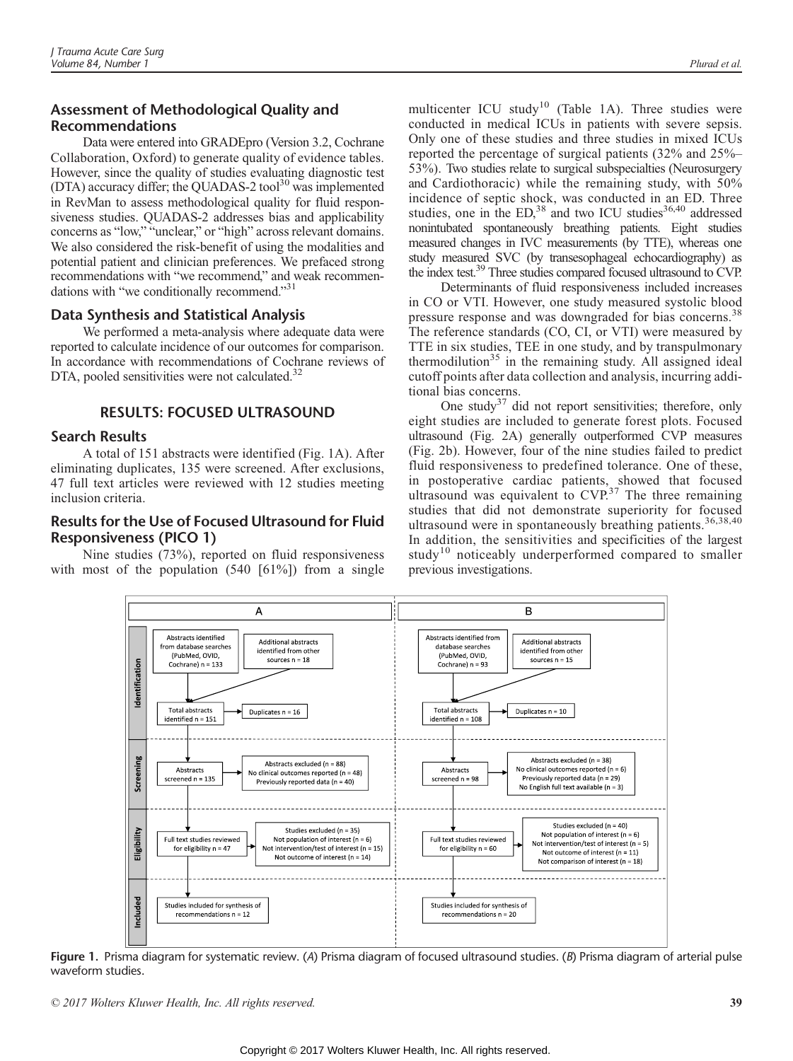# Assessment of Methodological Quality and Recommendations

Data were entered into GRADEpro (Version 3.2, Cochrane Collaboration, Oxford) to generate quality of evidence tables. However, since the quality of studies evaluating diagnostic test (DTA) accuracy differ; the QUADAS-2 tool<sup>30</sup> was implemented in RevMan to assess methodological quality for fluid responsiveness studies. QUADAS-2 addresses bias and applicability concerns as "low," "unclear," or "high" across relevant domains. We also considered the risk-benefit of using the modalities and potential patient and clinician preferences. We prefaced strong recommendations with "we recommend," and weak recommendations with "we conditionally recommend."<sup>31</sup>

# Data Synthesis and Statistical Analysis

We performed a meta-analysis where adequate data were reported to calculate incidence of our outcomes for comparison. In accordance with recommendations of Cochrane reviews of DTA, pooled sensitivities were not calculated.<sup>32</sup>

## RESULTS: FOCUSED ULTRASOUND

## Search Results

A total of 151 abstracts were identified (Fig. 1A). After eliminating duplicates, 135 were screened. After exclusions, 47 full text articles were reviewed with 12 studies meeting inclusion criteria.

# Results for the Use of Focused Ultrasound for Fluid Responsiveness (PICO 1)

Nine studies (73%), reported on fluid responsiveness with most of the population  $(540 \mid 61\%)$  from a single

multicenter ICU study<sup>10</sup> (Table 1A). Three studies were conducted in medical ICUs in patients with severe sepsis. Only one of these studies and three studies in mixed ICUs reported the percentage of surgical patients (32% and 25%– 53%). Two studies relate to surgical subspecialties (Neurosurgery and Cardiothoracic) while the remaining study, with 50% incidence of septic shock, was conducted in an ED. Three studies, one in the ED,<sup>38</sup> and two ICU studies<sup>36,40</sup> addressed nonintubated spontaneously breathing patients. Eight studies measured changes in IVC measurements (by TTE), whereas one study measured SVC (by transesophageal echocardiography) as the index test.<sup>39</sup> Three studies compared focused ultrasound to CVP.

Determinants of fluid responsiveness included increases in CO or VTI. However, one study measured systolic blood pressure response and was downgraded for bias concerns.<sup>38</sup> The reference standards (CO, CI, or VTI) were measured by TTE in six studies, TEE in one study, and by transpulmonary thermodilution $35$  in the remaining study. All assigned ideal cutoff points after data collection and analysis, incurring additional bias concerns.

One study<sup>37</sup> did not report sensitivities; therefore, only eight studies are included to generate forest plots. Focused ultrasound (Fig. 2A) generally outperformed CVP measures (Fig. 2b). However, four of the nine studies failed to predict fluid responsiveness to predefined tolerance. One of these, in postoperative cardiac patients, showed that focused ultrasound was equivalent to  $CVP^{37}$ . The three remaining studies that did not demonstrate superiority for focused ultrasound were in spontaneously breathing patients.<sup>36,38,40</sup> In addition, the sensitivities and specificities of the largest study<sup>10</sup> noticeably underperformed compared to smaller previous investigations.



Figure 1. Prisma diagram for systematic review. (A) Prisma diagram of focused ultrasound studies. (B) Prisma diagram of arterial pulse waveform studies.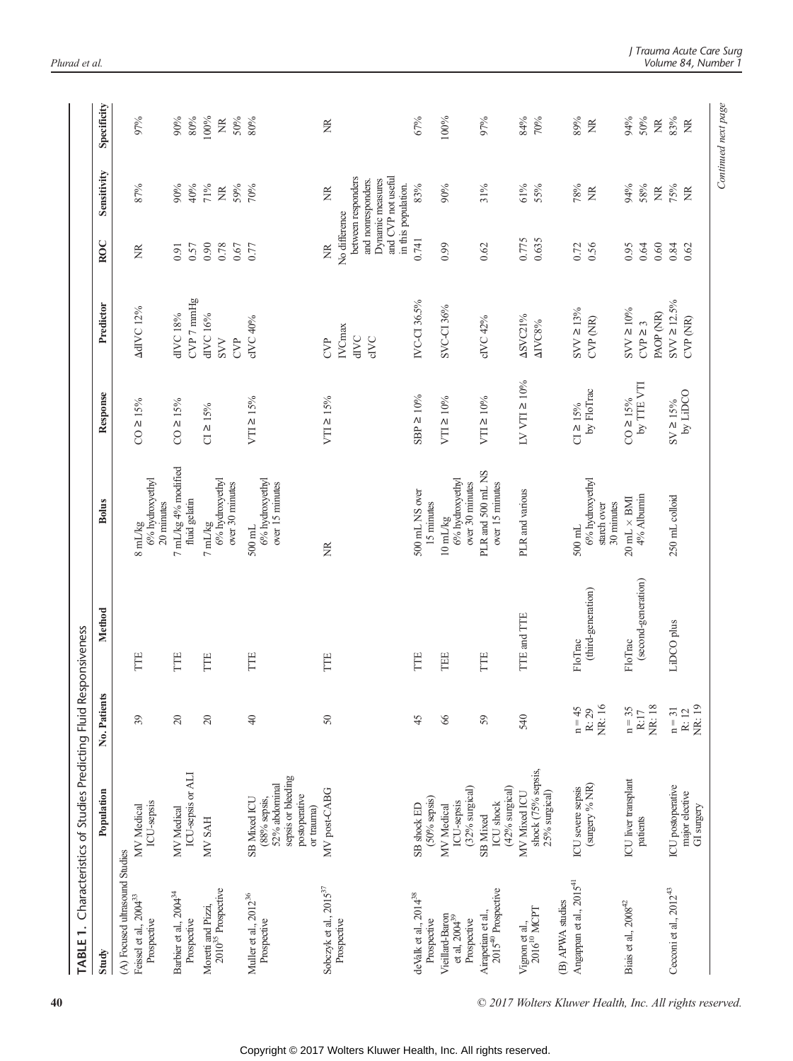|                                                      | TABLE 1. Characteristics of Studies Predicting Fluid Responsiveness                                  |                                  |                                |                                                                   |                                                                             |                                                            |                      |                                                                                                                |                                  |
|------------------------------------------------------|------------------------------------------------------------------------------------------------------|----------------------------------|--------------------------------|-------------------------------------------------------------------|-----------------------------------------------------------------------------|------------------------------------------------------------|----------------------|----------------------------------------------------------------------------------------------------------------|----------------------------------|
| Study                                                | Population                                                                                           | ts.<br>No. Patien                | Method                         | <b>Bolus</b>                                                      | Response                                                                    | Predictor                                                  | <b>ROC</b>           | Sensitivity                                                                                                    | Specificity                      |
| (A) Focused ultrasound Studies                       |                                                                                                      |                                  |                                |                                                                   |                                                                             |                                                            |                      |                                                                                                                |                                  |
| Feissel et al., 2004 <sup>33</sup><br>Prospective    | ICU-sepsis<br>MV Medical                                                                             | 39                               | TTE                            | 6% hydroxyethyl<br>20 minutes<br>$8$ m<br>L/kg                    | $CO \ge 15%$                                                                | <b>AdIVC 12%</b>                                           | Ž                    | 87%                                                                                                            | 97%                              |
| Barbier et al., 2004 <sup>34</sup><br>Prospective    | ICU-sepsis or ALI<br>MV Medical                                                                      | 20                               | TTE                            | 7 mL/kg 4% modified<br>fluid gelatin                              | $CO \ge 15\%$                                                               | $\text{CVP}$ 7 $\text{mmHg}$<br>dIVC 18%                   | 0.57<br>0.91         | 40%<br>$90\%$                                                                                                  | 80%<br>90%                       |
| Moretti and Pizzi,<br>2010 <sup>35</sup> Prospective | <b>HAS NM</b>                                                                                        | $\overline{20}$                  | FTE                            | 6% hydroxyethyl<br>over 30 minutes<br>$7\,\rm{mL/kg}$             | $CI \ge 15%$                                                                | dIVC 16%<br><b>CVP</b><br>SVV                              | 0.90<br>0.78<br>0.67 | 71%<br>59%<br>$\widetilde{\Xi}$                                                                                | 100%<br>50%<br>$\widetilde{\Xi}$ |
| Muller et al., 2012 <sup>36</sup><br>Prospective     | sepsis or bleeding<br>52% abdominal<br>postoperative<br>SB Mixed ICU<br>$(88%$ sepsis,<br>or trauma) | $\frac{1}{4}$                    | TTE                            | 6% hydroxyethyl<br>over 15 minutes<br>$500 \text{ mL}$            | VTI ≥ 15%                                                                   | cIVC 40%                                                   | 0.77                 | 70%                                                                                                            | 80%                              |
| Sobczyk et al., $2015^{37}$<br>Prospective           | MV post-CABG                                                                                         | $50\,$                           | Ë                              | ã                                                                 | VTI ≥ 15%                                                                   | <b>IVCmax</b><br>$\rm dIVC$<br><b>GIVC</b><br>$\mathbb{S}$ | No difference<br>Ž   | and CVP not useful<br>between responders<br>and nonresponders.<br>Dynamic measures<br>in this population.<br>Ĕ | ã                                |
| deValk et al., 2014 <sup>38</sup><br>Prospective     | $(50\%$ sepsis)<br>SB shock ED                                                                       | 45                               | TTE                            | 500 mL NS over<br>15 minutes                                      | $SBP \ge 10\%$                                                              | IVC-CI 36.5%                                               | 0.741                | 83%                                                                                                            | 67%                              |
| Vieillard-Baron<br>et al, $2004^{39}$<br>Prospective | (32% surgical)<br>ICU-sepsis<br>MV Medical                                                           | 66                               | TEE                            | 6% hydroxyethyl<br>over 30 minutes<br>$10 \text{ }\mathrm{mL/kg}$ | VTI ≥ 10%                                                                   | SVC-CI 36%                                                 | 0.99                 | $90\%$                                                                                                         | 100%                             |
| 2015 <sup>40</sup> Prospective<br>Airapetian et al., | (42% surgical)<br>ICU shock<br>SB Mixed                                                              | 59                               | TTE                            | PLR and 500 mL NS<br>over 15 minutes                              | VTI ≥ 10%                                                                   | cIVC 42%                                                   | 0.62                 | 31%                                                                                                            | 97%                              |
| Vignon et al., $2016^{10}$ MCPT                      | shock (75% sepsis,<br>MV Mixed ICU<br>25% surgical)                                                  | 540                              | TTE and TTE                    | PLR and various                                                   | $\text{LV}$ VTI $\geq 10\%$                                                 | ASVC21%<br>AIVC8%                                          | 0.775<br>0.635       | 61%<br>55%                                                                                                     | 84%<br>70%                       |
| (B) APWA studies                                     |                                                                                                      |                                  |                                |                                                                   |                                                                             |                                                            |                      |                                                                                                                |                                  |
| Angappan et al., 2015 <sup>41</sup>                  | (surgery % NR)<br>ICU severe sepsis                                                                  | NR: 16<br>$n = 45$<br>R: 29      | (third-generation)<br>FloTrac  | 6% hydroxyethyl<br>30 minutes<br>starch over<br>$500$ mL          | by FloTrac<br>$C1 \ge 15\%$                                                 | $SVV \ge 13\%$<br>$CVP$ $(NR)$                             | 0.72<br>0.56         | 78%<br>Ĕ                                                                                                       | 89%<br>Ĕ                         |
| Biais et al., $2008^{42}$                            | ICU liver transplant<br>patients                                                                     | <b>NR:18</b><br>$n = 35$<br>R:17 | (second-generation)<br>FloTrac | 4% Albumin<br>$20 \text{ mL} \times \text{BMI}$                   | by $\ensuremath{\mathsf{TTE}}\, \ensuremath{\mathsf{VTI}}$<br>$CO \ge 15\%$ | $\text{SVV} \geq 10\%$<br>PAOP (NR)<br>$CVP \geq 3$        | 0.64<br>0.60<br>0.95 | 94%<br>58%<br>$\widetilde{\Xi}$                                                                                | 94%<br>50%<br>$\widetilde{\Xi}$  |
| Cecconi et al., $2012^{43}$                          | ICU postoperative<br>major elective<br>GI surgery                                                    | NR: 19<br>$n = 31$<br>R: 12      | LiDCO plus                     | 250 mL colloid                                                    | DOCITIVQ<br>$8V \ge 15\%$                                                   | $SVV \ge 12.5\%$<br>CVP (NR)                               | 0.84<br>0.62         | 75%<br>g                                                                                                       | 83%<br>$\widetilde{\Xi}$         |
|                                                      |                                                                                                      |                                  |                                |                                                                   |                                                                             |                                                            |                      |                                                                                                                | Continued next page              |

40 © 2017 Wolters Kluwer Health, Inc. All rights reserved.

J Trauma Trans Care Surg<br>Volume 84 Number 1  $\sum_{i=1}^{n}$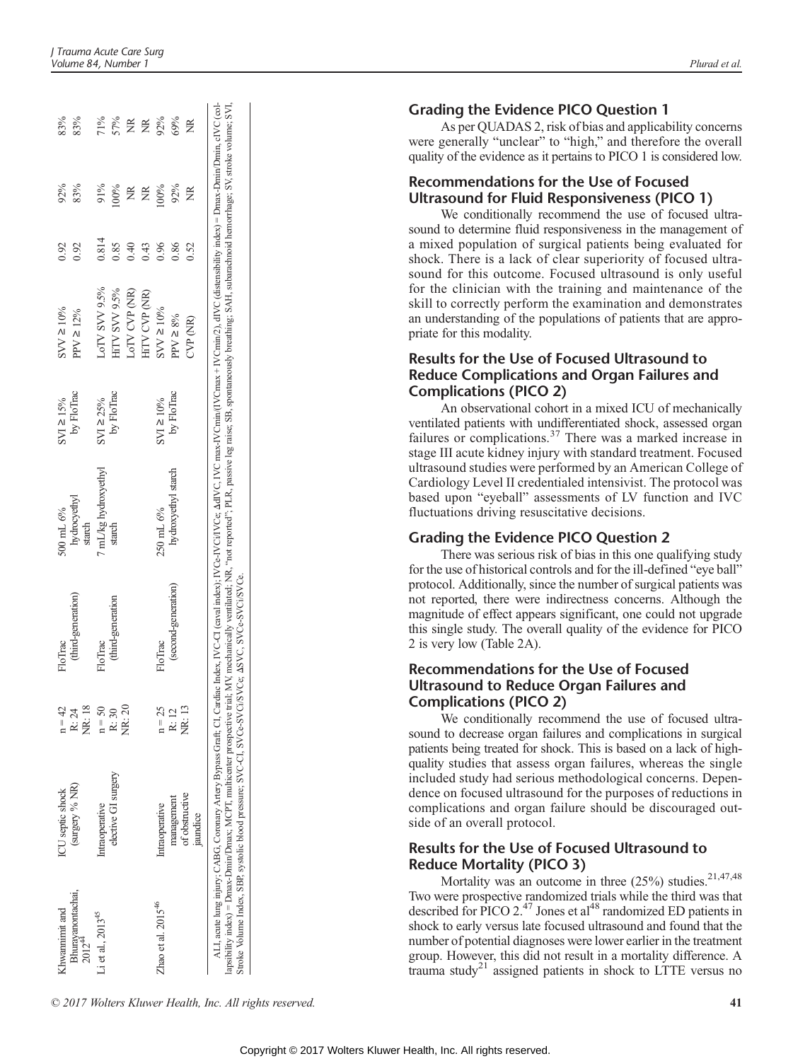| Khwamimit and                           | ICU septic shock                                                                                                                                                                                                                                                                                                                                                                                                                                                                                                                                   | $n = 42$        | FloTrac             | 500 mL 6%              | $SVI \ge 15%$  | $SVV \ge 10\%$         | 0.92  | 92% | 83%    |
|-----------------------------------------|----------------------------------------------------------------------------------------------------------------------------------------------------------------------------------------------------------------------------------------------------------------------------------------------------------------------------------------------------------------------------------------------------------------------------------------------------------------------------------------------------------------------------------------------------|-----------------|---------------------|------------------------|----------------|------------------------|-------|-----|--------|
| Bhurayanontachai,<br>2012 <sup>44</sup> | (surgery % NR)                                                                                                                                                                                                                                                                                                                                                                                                                                                                                                                                     | NR: 18<br>R: 24 | (third-generation)  | hydrocyethyl<br>starch | by FloTrac     | $PPV \geq 12\%$        | 0.92  | 83% | 83%    |
| Li et al., 2013 <sup>45</sup>           | Intraoperative                                                                                                                                                                                                                                                                                                                                                                                                                                                                                                                                     | $n = 50$        | FloTrac             | 7 mL/kg hydroxyethyl   | $SVI \ge 25%$  | LoTV SVV 9.5%          | 0.814 | 91% | $71\%$ |
|                                         | elective GI surgery                                                                                                                                                                                                                                                                                                                                                                                                                                                                                                                                | R: 30           | (third-generation   | starch                 | by FloTrac     | HITV SVV 9.5%          | 0.85  | 00% | 57%    |
|                                         |                                                                                                                                                                                                                                                                                                                                                                                                                                                                                                                                                    | <b>NR: 20</b>   |                     |                        |                | LoTV CVP (NR)          | 0.40  | ž   | ž      |
|                                         |                                                                                                                                                                                                                                                                                                                                                                                                                                                                                                                                                    |                 |                     |                        |                | HITV CVP (NR)          | 0.43  | Ž   | Ž      |
| Zhao et al. $2015^{46}$                 | Intraoperative                                                                                                                                                                                                                                                                                                                                                                                                                                                                                                                                     | $n = 25$        | FloTrac             | 250 mL 6%              | $SVI \ge 10\%$ | $\text{SVV} \geq 10\%$ | 0.96  | 00% | 92%    |
|                                         | management                                                                                                                                                                                                                                                                                                                                                                                                                                                                                                                                         | R: 12           | (second-generation) | hydroxyethyl starch    | by FloTrac     | $PPV \ge 8\%$          | 0.86  | 92% | 69%    |
|                                         | of obstructive<br>jaundice                                                                                                                                                                                                                                                                                                                                                                                                                                                                                                                         | NR: 13          |                     |                        |                | CVP (NR)               | 0.52  | Z   |        |
|                                         | ALI, acute lung injury; CABG, Coronary Artery Bypass Graft; CI, Cardiac Index, IVCC((asval index); IVCe-IVCI/VCc, IVC max-IVCmin/(IVCmax+IVCmin/2), dIVC (distensibility index) = Dmax-Dmin/Dmin, cIVC (col-<br>apsibility index) = Dmax-Dmin/Dmax; MCPT, multicenter prospective trial; MV, mechanically ventilated; NR, "not reported"; PLR, passive leg raise; SB, spontaneously breathing; SAH, subarachnoid hemorrhage; SV, stroke volume<br>Stroke Volume Index, SBP, systolic blood pressure; SVC-CI, SVCe-SVCi/SVCe; ASVC, SVCe-SVCi/SVCe. |                 |                     |                        |                |                        |       |     |        |
|                                         |                                                                                                                                                                                                                                                                                                                                                                                                                                                                                                                                                    |                 |                     |                        |                |                        |       |     |        |

#### Grading the Evidence PICO Question 1

As per QUADAS 2, risk of bias and applicability concerns were generally "unclear" to "high," and therefore the overall quality of the evidence as it pertains to PICO 1 is considered low.

#### Recommendations for the Use of Focused Ultrasound for Fluid Responsiveness (PICO 1)

We conditionally recommend the use of focused ultrasound to determine fluid responsiveness in the management of a mixed population of surgical patients being evaluated for shock. There is a lack of clear superiority of focused ultrasound for this outcome. Focused ultrasound is only useful for the clinician with the training and maintenance of the skill to correctly perform the examination and demonstrates an understanding of the populations of patients that are appropriate for this modality.

# Results for the Use of Focused Ultrasound to Reduce Complications and Organ Failures and Complications (PICO 2)

An observational cohort in a mixed ICU of mechanically ventilated patients with undifferentiated shock, assessed organ failures or complications.<sup>37</sup> There was a marked increase in stage III acute kidney injury with standard treatment. Focused ultrasound studies were performed by an American College of Cardiology Level II credentialed intensivist. The protocol was based upon "eyeball" assessments of LV function and IVC fluctuations driving resuscitative decisions.

## Grading the Evidence PICO Question 2

There was serious risk of bias in this one qualifying study for the use of historical controls and for the ill-defined "eye ball" protocol. Additionally, since the number of surgical patients was not reported, there were indirectness concerns. Although the magnitude of effect appears significant, one could not upgrade this single study. The overall quality of the evidence for PICO 2 is very low (Table 2A).

#### Recommendations for the Use of Focused Ultrasound to Reduce Organ Failures and Complications (PICO 2)

We conditionally recommend the use of focused ultrasound to decrease organ failures and complications in surgical patients being treated for shock. This is based on a lack of highquality studies that assess organ failures, whereas the single included study had serious methodological concerns. Dependence on focused ultrasound for the purposes of reductions in complications and organ failure should be discouraged outside of an overall protocol.

#### Results for the Use of Focused Ultrasound to Reduce Mortality (PICO 3)

Mortality was an outcome in three  $(25%)$  studies.<sup>21,47,48</sup> Two were prospective randomized trials while the third was that described for PICO 2.<sup>47</sup> Jones et al<sup>48</sup> randomized ED patients in shock to early versus late focused ultrasound and found that the number of potential diagnoses were lower earlier in the treatment group. However, this did not result in a mortality difference. A trauma study<sup>21</sup> assigned patients in shock to LTTE versus no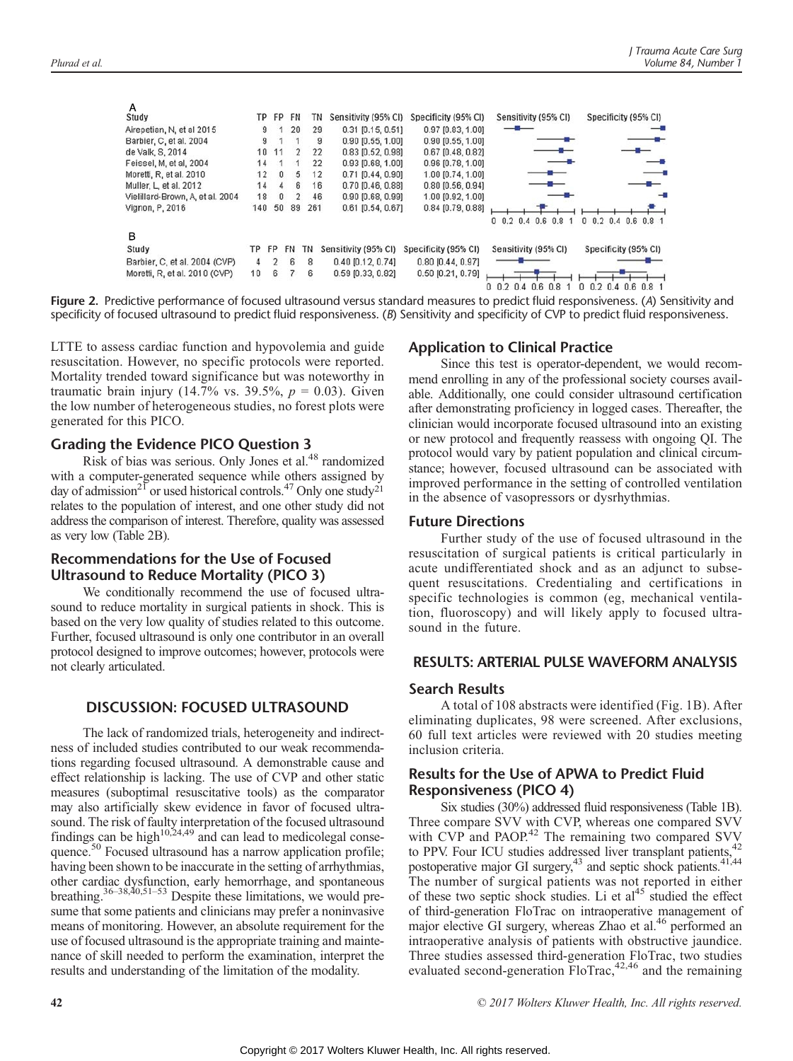| A                                |     |           |    |     |                       |                      |                                     |                        |
|----------------------------------|-----|-----------|----|-----|-----------------------|----------------------|-------------------------------------|------------------------|
| Study                            | TР  | FP.       | FN | ΤN  | Sensitivity (95% CI)  | Specificity (95% CI) | Sensitivity (95% CI)                | Specificity (95% CI)   |
| Airepetian, N, et al 2015        | 9   |           | 20 | 29  | 0.31 (0.15, 0.51)     | $0.97$ [0.83, 1.00]  |                                     |                        |
| Barbier, C, et al. 2004          | 9   |           |    | 9   | 0.90 [0.55, 1.00]     | $0.90$ [0.55, 1.00]  |                                     |                        |
| de Valk, S. 2014                 | 10  | 11        | 2  | 22  | $0.83$ $[0.52, 0.98]$ | $0.67$ [0.48, 0.82]  |                                     |                        |
| Feissel, M. et al. 2004          | 14  |           |    | 22  | $0.93$ [0.68, 1.00]   | 0.96 [0.78, 1.00]    |                                     |                        |
| Moretti, R, et al. 2010          | 12  | $\Omega$  | 5  | 12  | $0.71$ [0.44, 0.90]   | 1.00 [0.74, 1.00]    |                                     |                        |
| Muller, L. et al. 2012           | 14  | 4         | 6  | 16  | $0.70$ $[0.46, 0.88]$ | $0.80$ [0.56, 0.94]  |                                     |                        |
| Vielillard-Brown, A, et al. 2004 | 18  | $\Omega$  | 2  | 46  | $0.90$ $[0.68, 0.99]$ | 1.00 [0.92, 1.00]    |                                     |                        |
| Vignon, P. 2016                  | 140 | 50        | 89 | 261 | $0.61$ [0.54, 0.67]   | $0.84$ [0.79, 0.88]  |                                     |                        |
|                                  |     |           |    |     |                       |                      | $0.2$ 0.4 0.6 0.8<br>n              | 0 0.2 0.4 0.6 0.8 1    |
| в                                |     |           |    |     |                       |                      |                                     |                        |
| Study                            | TР  | <b>FP</b> | FN | ΤN  | Sensitivity (95% CI)  | Specificity (95% CI) | Sensitivity (95% CI)                | Specificity (95% CI)   |
| Barbier, C, et al. 2004 (CVP)    | 4   | 2         | 6  | 8   | $0.40$ [0.12, 0.74]   | $0.80$ [0.44, 0.97]  |                                     |                        |
| Moretti, R, et al. 2010 (CVP)    | 10  | 6         |    | 6   | $0.59$ [0.33, 0.82]   | $0.50$ [0.21, 0.79]  |                                     |                        |
|                                  |     |           |    |     |                       |                      | 0, 0.2, 0.4<br>$0.6^{\circ}$<br>0.8 | $0.2$ 0.4 0.6 0.8<br>0 |

Figure 2. Predictive performance of focused ultrasound versus standard measures to predict fluid responsiveness. (A) Sensitivity and specificity of focused ultrasound to predict fluid responsiveness. (B) Sensitivity and specificity of CVP to predict fluid responsiveness.

LTTE to assess cardiac function and hypovolemia and guide resuscitation. However, no specific protocols were reported. Mortality trended toward significance but was noteworthy in traumatic brain injury (14.7% vs. 39.5%,  $p = 0.03$ ). Given the low number of heterogeneous studies, no forest plots were generated for this PICO.

#### Grading the Evidence PICO Question 3

Risk of bias was serious. Only Jones et al.<sup>48</sup> randomized with a computer-generated sequence while others assigned by day of admission<sup>21</sup> or used historical controls.<sup>47</sup> Only one study<sup>21</sup> relates to the population of interest, and one other study did not address the comparison of interest. Therefore, quality was assessed as very low (Table 2B).

#### Recommendations for the Use of Focused Ultrasound to Reduce Mortality (PICO 3)

We conditionally recommend the use of focused ultrasound to reduce mortality in surgical patients in shock. This is based on the very low quality of studies related to this outcome. Further, focused ultrasound is only one contributor in an overall protocol designed to improve outcomes; however, protocols were not clearly articulated.

#### DISCUSSION: FOCUSED ULTRASOUND

The lack of randomized trials, heterogeneity and indirectness of included studies contributed to our weak recommendations regarding focused ultrasound. A demonstrable cause and effect relationship is lacking. The use of CVP and other static measures (suboptimal resuscitative tools) as the comparator may also artificially skew evidence in favor of focused ultrasound. The risk of faulty interpretation of the focused ultrasound findings can be high $10,24,49$  and can lead to medicolegal consequence.<sup>50</sup> Focused ultrasound has a narrow application profile; having been shown to be inaccurate in the setting of arrhythmias, other cardiac dysfunction, early hemorrhage, and spontaneous breathing.<sup>36–38,40,51–53</sup> Despite these limitations, we would presume that some patients and clinicians may prefer a noninvasive means of monitoring. However, an absolute requirement for the use of focused ultrasound is the appropriate training and maintenance of skill needed to perform the examination, interpret the results and understanding of the limitation of the modality.

#### Application to Clinical Practice

Since this test is operator-dependent, we would recommend enrolling in any of the professional society courses available. Additionally, one could consider ultrasound certification after demonstrating proficiency in logged cases. Thereafter, the clinician would incorporate focused ultrasound into an existing or new protocol and frequently reassess with ongoing QI. The protocol would vary by patient population and clinical circumstance; however, focused ultrasound can be associated with improved performance in the setting of controlled ventilation in the absence of vasopressors or dysrhythmias.

#### Future Directions

Further study of the use of focused ultrasound in the resuscitation of surgical patients is critical particularly in acute undifferentiated shock and as an adjunct to subsequent resuscitations. Credentialing and certifications in specific technologies is common (eg, mechanical ventilation, fluoroscopy) and will likely apply to focused ultrasound in the future.

#### RESULTS: ARTERIAL PULSE WAVEFORM ANALYSIS

#### Search Results

A total of 108 abstracts were identified (Fig. 1B). After eliminating duplicates, 98 were screened. After exclusions, 60 full text articles were reviewed with 20 studies meeting inclusion criteria.

#### Results for the Use of APWA to Predict Fluid Responsiveness (PICO 4)

Six studies (30%) addressed fluid responsiveness (Table 1B). Three compare SVV with CVP, whereas one compared SVV with CVP and PAOP.<sup>42</sup> The remaining two compared SVV to PPV. Four ICU studies addressed liver transplant patients,<sup>42</sup> postoperative major GI surgery,<sup>43</sup> and septic shock patients.<sup>41,44</sup> The number of surgical patients was not reported in either of these two septic shock studies. Li et  $al<sup>45</sup>$  studied the effect of third-generation FloTrac on intraoperative management of major elective GI surgery, whereas Zhao et al.<sup>46</sup> performed an intraoperative analysis of patients with obstructive jaundice. Three studies assessed third-generation FloTrac, two studies evaluated second-generation FloTrac,<sup>42,46</sup> and the remaining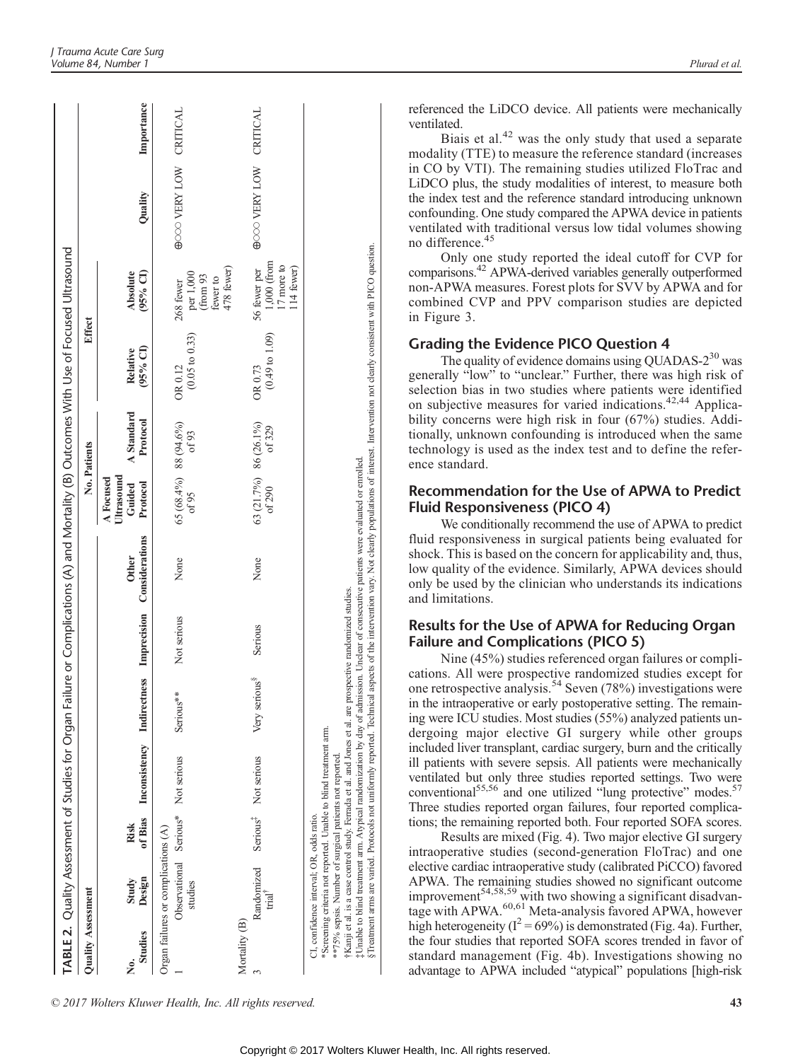|                           |                                                                                                     |      |                                                                                                                                                                               |                           |             |                                                                                                                                        |                                               |                        | TABLE 2. Quality Assessment of Studies for Organ Failure or Complications (A) and Mortality (B) Outcomes With Use of Focused Ultrasound                                                               |                                                                                     |                        |            |
|---------------------------|-----------------------------------------------------------------------------------------------------|------|-------------------------------------------------------------------------------------------------------------------------------------------------------------------------------|---------------------------|-------------|----------------------------------------------------------------------------------------------------------------------------------------|-----------------------------------------------|------------------------|-------------------------------------------------------------------------------------------------------------------------------------------------------------------------------------------------------|-------------------------------------------------------------------------------------|------------------------|------------|
| <b>Quality Assessment</b> |                                                                                                     |      |                                                                                                                                                                               |                           |             |                                                                                                                                        |                                               | No. Patients           | Effect                                                                                                                                                                                                |                                                                                     |                        |            |
| Studies<br>ż.             | Design<br>Study                                                                                     | Risk | of Bias Inconsistency Indirectness Imprecision Considerations                                                                                                                 |                           |             | <b>Other</b>                                                                                                                           | Ultrasound<br>A Focused<br>Guided<br>Protocol | A Standard<br>Protocol | (95% CI)<br>Relative                                                                                                                                                                                  | Absolute<br>$(95%$ CI)                                                              | Quality                | Importance |
|                           | Observational Serious* Not serious<br>Organ failures or complications (A)<br>studies                |      |                                                                                                                                                                               | Serious**                 | Not serious | None                                                                                                                                   | 65 (68.4%) 88 (94.6%)<br>of 95                | of 93                  | $(0.05 \text{ to } 0.33)$<br>OR 0.12                                                                                                                                                                  | per 1,000<br>(from 93<br>268 fewer                                                  | GOOD VERY LOW CRITICAL |            |
| Mortality (B)             | Randomized<br>$\text{trial}^{\top}$                                                                 |      | Serious <sup>#</sup> Not serious                                                                                                                                              | Very serious <sup>8</sup> | Serious     | None                                                                                                                                   | 63 (21.7%) 86 (26.1%)<br>of 290               | of 329                 | $(0.49 \text{ to } 1.09)$<br>OR 0.73                                                                                                                                                                  | $1,000$ (from<br>17 more to<br>478 fewer)<br>56 fewer per<br>114 fewer)<br>fewer to | GOOD VERY LOW CRITICAL |            |
|                           | **75% sepsis. Number of surgical patients not reported.<br>CI, confidence interval; OR, odds ratio. |      | [Kanji et al. is a case control study. Ferrada et al. and Jones et al. are prospective randomized studies.<br>Screening criteria not reported. Unable to blind treatment arm. |                           |             | Unable to blind treatment arm. Atypical randomization by day of admission. Unclear of consecutive patients were evaluated or enrolled. |                                               |                        | Treatment arms are varied. Protocols not uniformly reported. Technical aspects of the intervention vary. Not clearly populations of interest. Intervention not clearly consistent with PICO question. |                                                                                     |                        |            |

© 2017 Wolters Kluwer Health, Inc. All rights reserved. 43

referenced the LiDCO device. All patients were mechanically ventilated.

Biais et al. $42$  was the only study that used a separate modality (TTE) to measure the reference standard (increases in CO by VTI). The remaining studies utilized FloTrac and LiDCO plus, the study modalities of interest, to measure both the index test and the reference standard introducing unknown confounding. One study compared the APWA device in patients ventilated with traditional versus low tidal volumes showing no difference.<sup>45</sup>

Only one study reported the ideal cutoff for CVP for comparisons.42 APWA-derived variables generally outperformed non-APWA measures. Forest plots for SVV by APWA and for combined CVP and PPV comparison studies are depicted in Figure 3.

#### Grading the Evidence PICO Question 4

The quality of evidence domains using QUADAS- $2^{30}$  was generally "low" to "unclear." Further, there was high risk of selection bias in two studies where patients were identified on subjective measures for varied indications.42,44 Applicability concerns were high risk in four (67%) studies. Additionally, unknown confounding is introduced when the same technology is used as the index test and to define the reference standard.

#### Recommendation for the Use of APWA to Predict Fluid Responsiveness (PICO 4)

We conditionally recommend the use of APWA to predict fluid responsiveness in surgical patients being evaluated for shock. This is based on the concern for applicability and, thus, low quality of the evidence. Similarly, APWA devices should only be used by the clinician who understands its indications and limitations.

#### Results for the Use of APWA for Reducing Organ Failure and Complications (PICO 5)

Nine (45%) studies referenced organ failures or complications. All were prospective randomized studies except for one retrospective analysis.<sup>54</sup> Seven (78%) investigations were in the intraoperative or early postoperative setting. The remaining were ICU studies. Most studies (55%) analyzed patients undergoing major elective GI surgery while other groups included liver transplant, cardiac surgery, burn and the critically ill patients with severe sepsis. All patients were mechanically ventilated but only three studies reported settings. Two were conventional<sup>55,56</sup> and one utilized "lung protective" modes.<sup>57</sup> Three studies reported organ failures, four reported complications; the remaining reported both. Four reported SOFA scores.

Results are mixed (Fig. 4). Two major elective GI surgery intraoperative studies (second-generation FloTrac) and one elective cardiac intraoperative study (calibrated PiCCO) favored APWA. The remaining studies showed no significant outcome improvement<sup>54,58,59</sup> with two showing a significant disadvantage with APWA.<sup>60,61</sup> Meta-analysis favored APWA, however high heterogeneity ( $I^2 = 69\%$ ) is demonstrated (Fig. 4a). Further, the four studies that reported SOFA scores trended in favor of standard management (Fig. 4b). Investigations showing no advantage to APWA included "atypical" populations [high-risk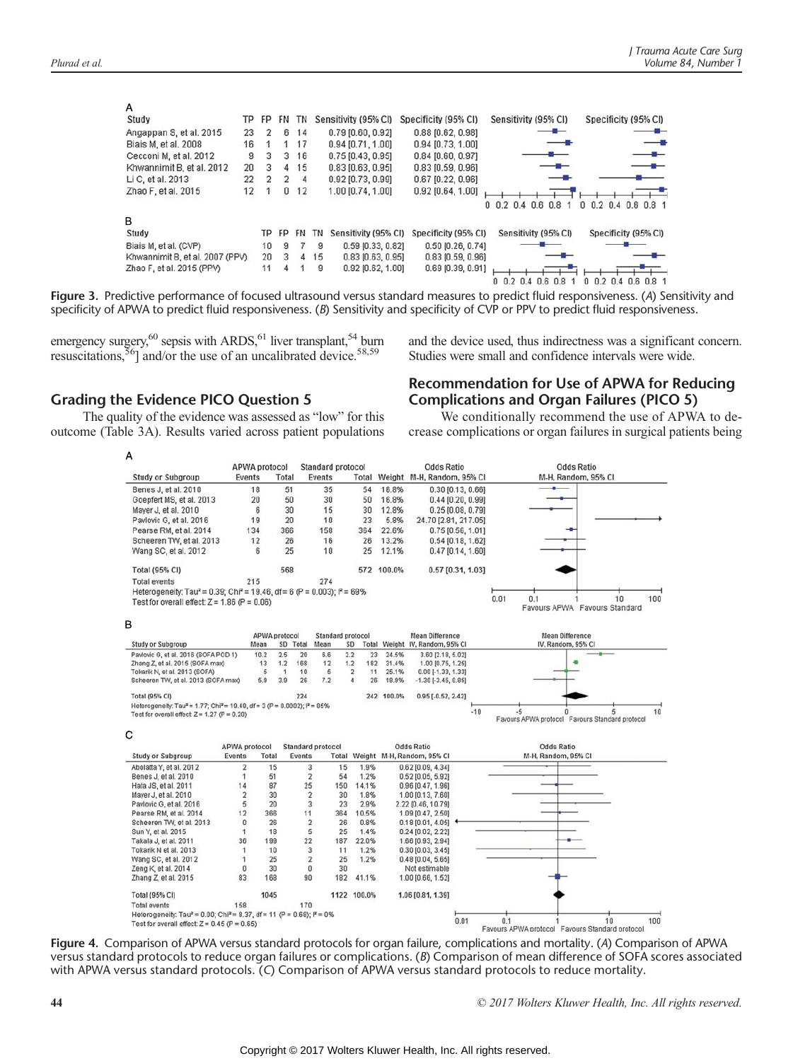| A                               |    |               |                |           |    |                       |                         |                         |                      |
|---------------------------------|----|---------------|----------------|-----------|----|-----------------------|-------------------------|-------------------------|----------------------|
| Study                           | TP | FP            | FN.            | ΤN        |    | Sensitivity (95% CI)  | Specificity (95% CI)    | Sensitivity (95% CI)    | Specificity (95% CI) |
| Angappan S, et al. 2015         | 23 | 2             | 6              | 14        |    | 0.79 (0.60, 0.92)     | $0.88$ [ $0.62, 0.98$ ] |                         |                      |
| Biais M, et al. 2008            | 16 |               |                | 17        |    | 0.94 [0.71, 1.00]     | $0.94$ [0.73, 1.00]     |                         |                      |
| Cecconi M, et al. 2012          | 9  | 3             | 3              | 16        |    | $0.75$ $[0.43, 0.95]$ | $0.84$ [0.60, 0.97]     |                         |                      |
| Khwannimit B, et al. 2012       | 20 | з             | $\overline{4}$ | 15        |    | $0.83$ $[0.63, 0.95]$ | $0.83$ $[0.59, 0.96]$   |                         |                      |
| Li C, et al. 2013               | 22 | $\mathcal{P}$ | $\overline{2}$ | 4         |    | 0.92 [0.73, 0.99]     | 0.67 [0.22, 0.96]       |                         |                      |
| Zhao F, et al. 2015             | 12 |               | 0              | 12        |    | 1.00 [0.74, 1.00]     | $0.92$ [0.64, 1.00]     |                         |                      |
|                                 |    |               |                |           |    |                       |                         | $0$ 0.2 0.4 0.6 0.8     | 0 0.2 0.4 0.6 0.8 1  |
| B                               |    |               |                |           |    |                       |                         |                         |                      |
| Study                           |    | ТP            | FP             | <b>FN</b> | ΤN | Sensitivity (95% CI)  | Specificity (95% CI)    | Sensitivity (95% CI)    | Specificity (95% CI) |
| Biais M, et al. (CVP)           |    | 10            | 9              | 7         | 9  | 0.59 [0.33, 0.82]     | 0.50 [0.26, 0.74]       |                         |                      |
| Khwannimit B, et al. 2007 (PPV) |    | 20            | 3              | 4         | 15 | $0.83$ [0.63, 0.95]   | $0.83$ [0.59, 0.96]     |                         |                      |
| Zhao F, et al. 2015 (PPV)       |    | 11            | 4              |           | 9  | $0.92$ [0.62, 1.00]   | $0.69$ [0.39, 0.91]     |                         |                      |
|                                 |    |               |                |           |    |                       |                         | 0, 0.2, 0.4, 0.6<br>0.8 | 0 0 2 0 4 0 6 0 8 1  |

Figure 3. Predictive performance of focused ultrasound versus standard measures to predict fluid responsiveness. (A) Sensitivity and specificity of APWA to predict fluid responsiveness. (B) Sensitivity and specificity of CVP or PPV to predict fluid responsiveness.

emergency surgery,<sup>60</sup> sepsis with ARDS,<sup>61</sup> liver transplant,<sup>54</sup> burn resuscitations,  $\frac{56}{9}$  and/or the use of an uncalibrated device.  $58,59$ 

#### Grading the Evidence PICO Question 5

The quality of the evidence was assessed as "low" for this outcome (Table 3A). Results varied across patient populations

#### and the device used, thus indirectness was a significant concern. Studies were small and confidence intervals were wide.

#### Recommendation for Use of APWA for Reducing Complications and Organ Failures (PICO 5)

We conditionally recommend the use of APWA to decrease complications or organ failures in surgical patients being



Figure 4. Comparison of APWA versus standard protocols for organ failure, complications and mortality. (A) Comparison of APWA versus standard protocols to reduce organ failures or complications. (B) Comparison of mean difference of SOFA scores associated with APWA versus standard protocols. (C) Comparison of APWA versus standard protocols to reduce mortality.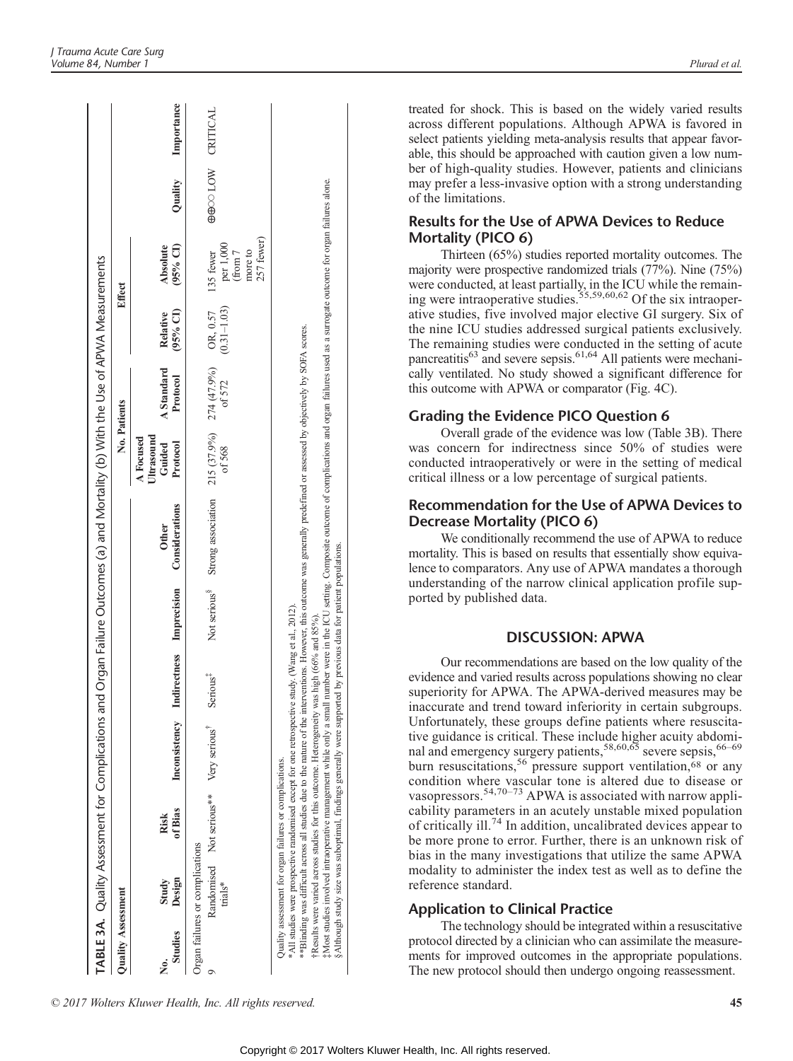|                           |                                            |                                                         |                                                                                                                                                                                                                                                                                                                          |                      | TABLE 3A. Quality Assessment for Complications and Organ Failure Outcomes (a) and Mortality (b) With the Use of APWA Measurements                                                                                                                                                                                                                                                               |                                               |                        |                      |                                                            |                  |                    |
|---------------------------|--------------------------------------------|---------------------------------------------------------|--------------------------------------------------------------------------------------------------------------------------------------------------------------------------------------------------------------------------------------------------------------------------------------------------------------------------|----------------------|-------------------------------------------------------------------------------------------------------------------------------------------------------------------------------------------------------------------------------------------------------------------------------------------------------------------------------------------------------------------------------------------------|-----------------------------------------------|------------------------|----------------------|------------------------------------------------------------|------------------|--------------------|
| <b>Quality Assessment</b> |                                            |                                                         |                                                                                                                                                                                                                                                                                                                          |                      |                                                                                                                                                                                                                                                                                                                                                                                                 | No. Patients                                  |                        |                      | Effect                                                     |                  |                    |
| <b>Studies</b><br>ż       | Design<br>Study                            | of Bias<br>Risk                                         | Inconsistency Indirectness Imprecision                                                                                                                                                                                                                                                                                   |                      | Considerations<br><b>Other</b>                                                                                                                                                                                                                                                                                                                                                                  | Ultrasound<br>A Focused<br>Guided<br>Protocol | A Standard<br>Protocol | (95% CI)<br>Relative | (95% CI)<br>Absolute                                       |                  | Quality Importance |
|                           | Organ failures or complications<br>trials* | Randomised Not serious** Very serious                   |                                                                                                                                                                                                                                                                                                                          | Serious <sup>‡</sup> | Not serious <sup>8</sup> Strong association 215 (37.9%) $274 (47.9\%)$ OR, 0.57                                                                                                                                                                                                                                                                                                                 | of 568                                        | of 572                 | $(0.31 - 1.03)$      | 257 fewer)<br>per 1,000<br>(from 7<br>more to<br>135 fewer | GOO LOW CRITICAL |                    |
|                           |                                            | Quality assessment for organ failures or complications. | §Although study size was suboptimal, findings generally were supported by previous data for patient populations.<br>*All studies were prospective randomised except for one retrospective study. (Wang et al., 2012).<br>FResults were varied across studies for this outcome. Heterogeneity was high (66% and $85\%$ ). |                      | Most studies involved intraoperative management while only a small number were in the ICU setting. Composite outcome of complications and organ failures used as a surrogate outcome for organ failures alone.<br>**Blinding was difficult across all studies due to the nature of the interventions. However, this outcome was generally predefined or assessed by objectively by SOFA scores. |                                               |                        |                      |                                                            |                  |                    |

treated for shock. This is based on the widely varied results across different populations. Although APWA is favored in select patients yielding meta-analysis results that appear favorable, this should be approached with caution given a low number of high-quality studies. However, patients and clinicians may prefer a less-invasive option with a strong understanding of the limitations.

#### Results for the Use of APWA Devices to Reduce Mortality (PICO 6)

Thirteen (65%) studies reported mortality outcomes. The majority were prospective randomized trials (77%). Nine (75%) were conducted, at least partially, in the ICU while the remaining were intraoperative studies.<sup>55,59,60,62</sup> Of the six intraoperative studies, five involved major elective GI surgery. Six of the nine ICU studies addressed surgical patients exclusively. The remaining studies were conducted in the setting of acute pancreatitis<sup>63</sup> and severe sepsis.<sup>61,64</sup> All patients were mechanically ventilated. No study showed a significant difference for this outcome with APWA or comparator (Fig. 4C).

#### Grading the Evidence PICO Question 6

Overall grade of the evidence was low (Table 3B). There was concern for indirectness since 50% of studies were conducted intraoperatively or were in the setting of medical critical illness or a low percentage of surgical patients.

#### Recommendation for the Use of APWA Devices to Decrease Mortality (PICO 6)

We conditionally recommend the use of APWA to reduce mortality. This is based on results that essentially show equivalence to comparators. Any use of APWA mandates a thorough understanding of the narrow clinical application profile supported by published data.

#### DISCUSSION: APWA

Our recommendations are based on the low quality of the evidence and varied results across populations showing no clear superiority for APWA. The APWA-derived measures may be inaccurate and trend toward inferiority in certain subgroups. Unfortunately, these groups define patients where resuscitative guidance is critical. These include higher acuity abdominal and emergency surgery patients,  $58,60,65$  severe sepsis,  $66-69$ burn resuscitations,<sup>56</sup> pressure support ventilation, $68$  or any condition where vascular tone is altered due to disease or vasopressors.<sup>54,70–73</sup> APWA is associated with narrow applicability parameters in an acutely unstable mixed population of critically ill.<sup>74</sup> In addition, uncalibrated devices appear to be more prone to error. Further, there is an unknown risk of bias in the many investigations that utilize the same APWA modality to administer the index test as well as to define the reference standard.

#### Application to Clinical Practice

The technology should be integrated within a resuscitative protocol directed by a clinician who can assimilate the measurements for improved outcomes in the appropriate populations. The new protocol should then undergo ongoing reassessment.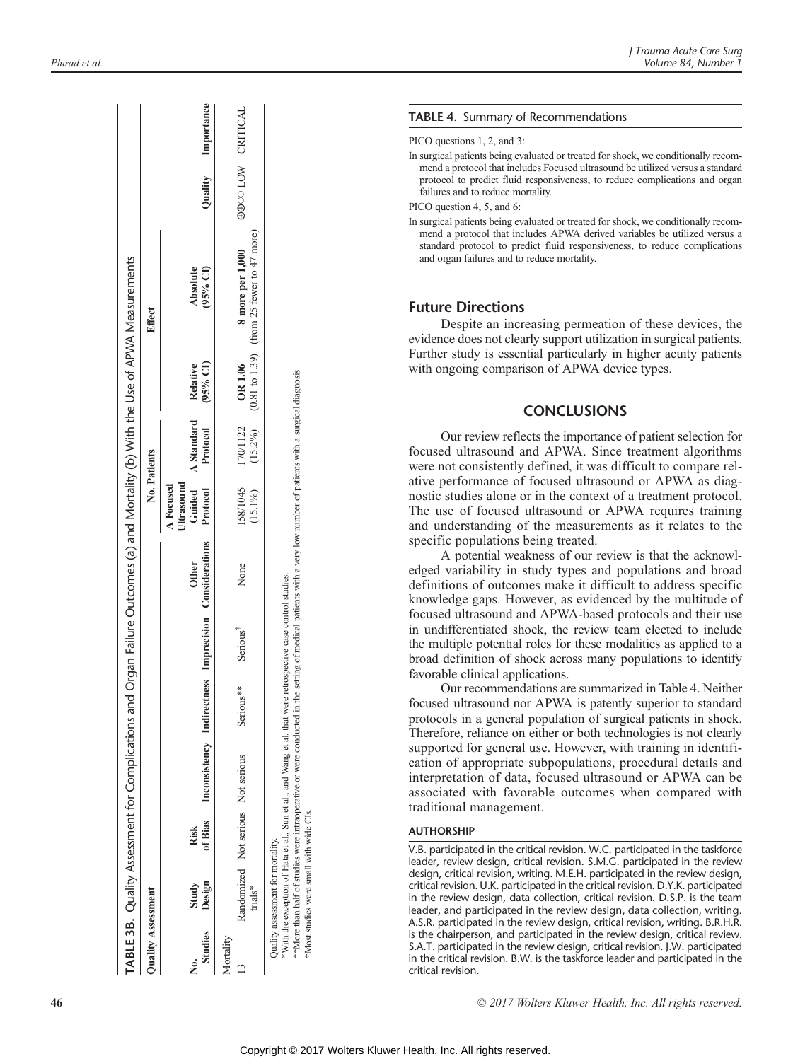|                           |                                                                             |      | TABLE 3B. Quality Assessment for Complications and                       |           |                                     |                                                                                                                                                                    |                         |                               |                        | I Organ Failure Outcomes (a) and Mortality (b) With the Use of APWA Measurements    |                  |                    |
|---------------------------|-----------------------------------------------------------------------------|------|--------------------------------------------------------------------------|-----------|-------------------------------------|--------------------------------------------------------------------------------------------------------------------------------------------------------------------|-------------------------|-------------------------------|------------------------|-------------------------------------------------------------------------------------|------------------|--------------------|
| <b>Quality Assessment</b> |                                                                             |      |                                                                          |           |                                     |                                                                                                                                                                    | No. Patients            |                               |                        | Effect                                                                              |                  |                    |
| Studies                   | Design<br>Study                                                             | Risk |                                                                          |           |                                     | of Bias Inconsistency Indirectness Imprecision Considerations Protocol<br><b>Other</b>                                                                             | Ultrasound<br>A Focused | Guided A Standard<br>Protocol | $(95%$ CI)<br>Relative | (95% CI)<br>Absolute                                                                |                  | Quality Importance |
| Mortality                 | Randomized Not serious Not serious<br>trials*                               |      |                                                                          | Serious** | Serious <sup>1</sup>                | None                                                                                                                                                               | 158/1045<br>$(15.1\%)$  | 170/1122                      | OR 1.06                | $(15.2\%)$ $(0.81 \text{ to } 1.39)$ (from 25 fewer to 47 more)<br>8 more per 1,000 | GOO LOW CRITICAL |                    |
|                           | Most studies were small with wide CIs.<br>Juality assessment for mortality. |      | With the exception of Hata et al., Sun et al., and Wang et al. that were |           | retrospective case control studies. | **More than half of studies were intraoperative or were conducted in the setting of medical patients with a very low number of patients with a surgical diagnosis. |                         |                               |                        |                                                                                     |                  |                    |

#### TABLE 4. Summary of Recommendations

PICO questions 1, 2, and 3:

In surgical patients being evaluated or treated for shock, we conditionally recommend a protocol that includes Focused ultrasound be utilized versus a standard protocol to predict fluid responsiveness, to reduce complications and organ failures and to reduce mortality.

PICO question 4, 5, and 6:

In surgical patients being evaluated or treated for shock, we conditionally recommend a protocol that includes APWA derived variables be utilized versus a standard protocol to predict fluid responsiveness, to reduce complications and organ failures and to reduce mortality.

#### Future Directions

Despite an increasing permeation of these devices, the evidence does not clearly support utilization in surgical patients. Further study is essential particularly in higher acuity patients with ongoing comparison of APWA device types.

#### **CONCLUSIONS**

Our review reflects the importance of patient selection for focused ultrasound and APWA. Since treatment algorithms were not consistently defined, it was difficult to compare relative performance of focused ultrasound or APWA as diagnostic studies alone or in the context of a treatment protocol. The use of focused ultrasound or APWA requires training and understanding of the measurements as it relates to the specific populations being treated.

A potential weakness of our review is that the acknowledged variability in study types and populations and broad definitions of outcomes make it difficult to address specific knowledge gaps. However, as evidenced by the multitude of focused ultrasound and APWA-based protocols and their use in undifferentiated shock, the review team elected to include the multiple potential roles for these modalities as applied to a broad definition of shock across many populations to identify favorable clinical applications.

Our recommendations are summarized in Table 4. Neither focused ultrasound nor APWA is patently superior to standard protocols in a general population of surgical patients in shock. Therefore, reliance on either or both technologies is not clearly supported for general use. However, with training in identification of appropriate subpopulations, procedural details and interpretation of data, focused ultrasound or APWA can be associated with favorable outcomes when compared with traditional management.

#### AUTHORSHIP

V.B. participated in the critical revision. W.C. participated in the taskforce leader, review design, critical revision. S.M.G. participated in the review design, critical revision, writing. M.E.H. participated in the review design, critical revision. U.K. participated in the critical revision. D.Y.K. participated in the review design, data collection, critical revision. D.S.P. is the team leader, and participated in the review design, data collection, writing. A.S.R. participated in the review design, critical revision, writing. B.R.H.R. is the chairperson, and participated in the review design, critical review. S.A.T. participated in the review design, critical revision. J.W. participated in the critical revision. B.W. is the taskforce leader and participated in the critical revision.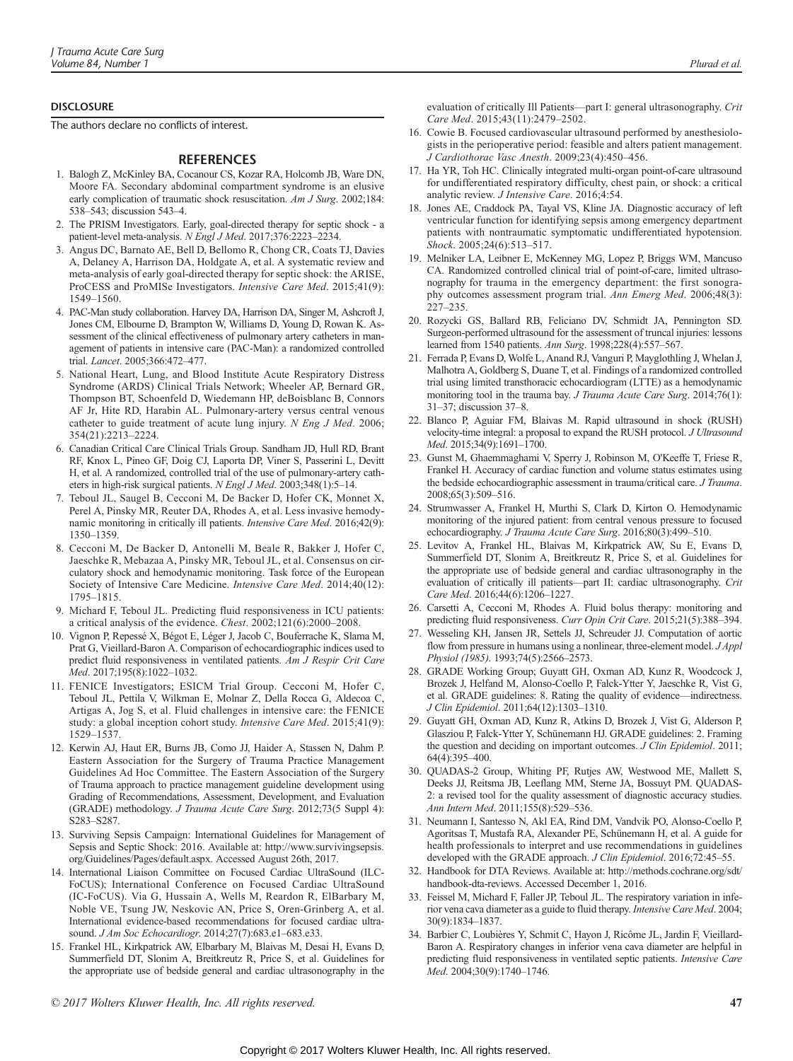#### **DISCLOSURE**

The authors declare no conflicts of interest.

#### **REFERENCES**

- 1. Balogh Z, McKinley BA, Cocanour CS, Kozar RA, Holcomb JB, Ware DN, Moore FA. Secondary abdominal compartment syndrome is an elusive early complication of traumatic shock resuscitation. Am J Surg. 2002;184: 538–543; discussion 543–4.
- 2. The PRISM Investigators. Early, goal-directed therapy for septic shock a patient-level meta-analysis. N Engl J Med. 2017;376:2223-2234.
- 3. Angus DC, Barnato AE, Bell D, Bellomo R, Chong CR, Coats TJ, Davies A, Delaney A, Harrison DA, Holdgate A, et al. A systematic review and meta-analysis of early goal-directed therapy for septic shock: the ARISE, ProCESS and ProMISe Investigators. Intensive Care Med. 2015;41(9): 1549–1560.
- 4. PAC-Man study collaboration. Harvey DA, Harrison DA, Singer M, Ashcroft J, Jones CM, Elbourne D, Brampton W, Williams D, Young D, Rowan K. Assessment of the clinical effectiveness of pulmonary artery catheters in management of patients in intensive care (PAC-Man): a randomized controlled trial. Lancet. 2005;366:472–477.
- 5. National Heart, Lung, and Blood Institute Acute Respiratory Distress Syndrome (ARDS) Clinical Trials Network; Wheeler AP, Bernard GR, Thompson BT, Schoenfeld D, Wiedemann HP, deBoisblanc B, Connors AF Jr, Hite RD, Harabin AL. Pulmonary-artery versus central venous catheter to guide treatment of acute lung injury. N Eng J Med. 2006; 354(21):2213–2224.
- 6. Canadian Critical Care Clinical Trials Group. Sandham JD, Hull RD, Brant RF, Knox L, Pineo GF, Doig CJ, Laporta DP, Viner S, Passerini L, Devitt H, et al. A randomized, controlled trial of the use of pulmonary-artery catheters in high-risk surgical patients. N Engl J Med. 2003;348(1):5–14.
- 7. Teboul JL, Saugel B, Cecconi M, De Backer D, Hofer CK, Monnet X, Perel A, Pinsky MR, Reuter DA, Rhodes A, et al. Less invasive hemodynamic monitoring in critically ill patients. Intensive Care Med. 2016;42(9): 1350–1359.
- 8. Cecconi M, De Backer D, Antonelli M, Beale R, Bakker J, Hofer C, Jaeschke R, Mebazaa A, Pinsky MR, Teboul JL, et al. Consensus on circulatory shock and hemodynamic monitoring. Task force of the European Society of Intensive Care Medicine. Intensive Care Med. 2014;40(12): 1795–1815.
- 9. Michard F, Teboul JL. Predicting fluid responsiveness in ICU patients: a critical analysis of the evidence. Chest. 2002;121(6):2000–2008.
- 10. Vignon P, Repessé X, Bégot E, Léger J, Jacob C, Bouferrache K, Slama M, Prat G, Vieillard-Baron A. Comparison of echocardiographic indices used to predict fluid responsiveness in ventilated patients. Am J Respir Crit Care Med. 2017;195(8):1022–1032.
- 11. FENICE Investigators; ESICM Trial Group. Cecconi M, Hofer C, Teboul JL, Pettila V, Wilkman E, Molnar Z, Della Rocca G, Aldecoa C, Artigas A, Jog S, et al. Fluid challenges in intensive care: the FENICE study: a global inception cohort study. Intensive Care Med. 2015;41(9): 1529–1537.
- 12. Kerwin AJ, Haut ER, Burns JB, Como JJ, Haider A, Stassen N, Dahm P. Eastern Association for the Surgery of Trauma Practice Management Guidelines Ad Hoc Committee. The Eastern Association of the Surgery of Trauma approach to practice management guideline development using Grading of Recommendations, Assessment, Development, and Evaluation (GRADE) methodology. J Trauma Acute Care Surg. 2012;73(5 Suppl 4): S283–S287.
- 13. Surviving Sepsis Campaign: International Guidelines for Management of Sepsis and Septic Shock: 2016. Available at: [http://www.survivingsepsis.](http://www.survivingsepsis.org/Guidelines/Pages/default.aspx) [org/Guidelines/Pages/default.aspx](http://www.survivingsepsis.org/Guidelines/Pages/default.aspx). Accessed August 26th, 2017.
- 14. International Liaison Committee on Focused Cardiac UltraSound (ILC-FoCUS); International Conference on Focused Cardiac UltraSound (IC-FoCUS). Via G, Hussain A, Wells M, Reardon R, ElBarbary M, Noble VE, Tsung JW, Neskovic AN, Price S, Oren-Grinberg A, et al. International evidence-based recommendations for focused cardiac ultrasound. J Am Soc Echocardiogr. 2014;27(7):683.e1–683.e33.
- 15. Frankel HL, Kirkpatrick AW, Elbarbary M, Blaivas M, Desai H, Evans D, Summerfield DT, Slonim A, Breitkreutz R, Price S, et al. Guidelines for the appropriate use of bedside general and cardiac ultrasonography in the

evaluation of critically Ill Patients—part I: general ultrasonography. Crit Care Med. 2015;43(11):2479–2502.

- 16. Cowie B. Focused cardiovascular ultrasound performed by anesthesiologists in the perioperative period: feasible and alters patient management. J Cardiothorac Vasc Anesth. 2009;23(4):450–456.
- 17. Ha YR, Toh HC. Clinically integrated multi-organ point-of-care ultrasound for undifferentiated respiratory difficulty, chest pain, or shock: a critical analytic review. J Intensive Care. 2016;4:54.
- 18. Jones AE, Craddock PA, Tayal VS, Kline JA. Diagnostic accuracy of left ventricular function for identifying sepsis among emergency department patients with nontraumatic symptomatic undifferentiated hypotension. Shock. 2005;24(6):513–517.
- 19. Melniker LA, Leibner E, McKenney MG, Lopez P, Briggs WM, Mancuso CA. Randomized controlled clinical trial of point-of-care, limited ultrasonography for trauma in the emergency department: the first sonography outcomes assessment program trial. Ann Emerg Med. 2006;48(3): 227–235.
- 20. Rozycki GS, Ballard RB, Feliciano DV, Schmidt JA, Pennington SD. Surgeon-performed ultrasound for the assessment of truncal injuries: lessons learned from 1540 patients. Ann Surg. 1998;228(4):557–567.
- 21. Ferrada P, Evans D, Wolfe L, Anand RJ, Vanguri P, Mayglothling J, Whelan J, Malhotra A, Goldberg S, Duane T, et al. Findings of a randomized controlled trial using limited transthoracic echocardiogram (LTTE) as a hemodynamic monitoring tool in the trauma bay. J Trauma Acute Care Surg. 2014;76(1): 31–37; discussion 37–8.
- 22. Blanco P, Aguiar FM, Blaivas M. Rapid ultrasound in shock (RUSH) velocity-time integral: a proposal to expand the RUSH protocol. J Ultrasound Med. 2015;34(9):1691–1700.
- 23. Gunst M, Ghaemmaghami V, Sperry J, Robinson M, O'Keeffe T, Friese R, Frankel H. Accuracy of cardiac function and volume status estimates using the bedside echocardiographic assessment in trauma/critical care. J Trauma. 2008;65(3):509–516.
- 24. Strumwasser A, Frankel H, Murthi S, Clark D, Kirton O. Hemodynamic monitoring of the injured patient: from central venous pressure to focused echocardiography. J Trauma Acute Care Surg. 2016;80(3):499–510.
- 25. Levitov A, Frankel HL, Blaivas M, Kirkpatrick AW, Su E, Evans D, Summerfield DT, Slonim A, Breitkreutz R, Price S, et al. Guidelines for the appropriate use of bedside general and cardiac ultrasonography in the evaluation of critically ill patients—part II: cardiac ultrasonography. Crit Care Med. 2016;44(6):1206–1227.
- 26. Carsetti A, Cecconi M, Rhodes A. Fluid bolus therapy: monitoring and predicting fluid responsiveness. Curr Opin Crit Care. 2015;21(5):388–394.
- 27. Wesseling KH, Jansen JR, Settels JJ, Schreuder JJ. Computation of aortic flow from pressure in humans using a nonlinear, three-element model. J Appl Physiol (1985). 1993;74(5):2566–2573.
- 28. GRADE Working Group; Guyatt GH, Oxman AD, Kunz R, Woodcock J, Brozek J, Helfand M, Alonso-Coello P, Falck-Ytter Y, Jaeschke R, Vist G, et al. GRADE guidelines: 8. Rating the quality of evidence—indirectness. J Clin Epidemiol. 2011;64(12):1303–1310.
- 29. Guyatt GH, Oxman AD, Kunz R, Atkins D, Brozek J, Vist G, Alderson P, Glasziou P, Falck-Ytter Y, Schünemann HJ. GRADE guidelines: 2. Framing the question and deciding on important outcomes. J Clin Epidemiol. 2011; 64(4):395–400.
- 30. QUADAS-2 Group, Whiting PF, Rutjes AW, Westwood ME, Mallett S, Deeks JJ, Reitsma JB, Leeflang MM, Sterne JA, Bossuyt PM. QUADAS-2: a revised tool for the quality assessment of diagnostic accuracy studies. Ann Intern Med. 2011;155(8):529–536.
- 31. Neumann I, Santesso N, Akl EA, Rind DM, Vandvik PO, Alonso-Coello P, Agoritsas T, Mustafa RA, Alexander PE, Schünemann H, et al. A guide for health professionals to interpret and use recommendations in guidelines developed with the GRADE approach. J Clin Epidemiol. 2016;72:45-55.
- 32. Handbook for DTA Reviews. Available at: [http://methods.cochrane.org/sdt/](http://methods.cochrane.org/sdt/handbook-dta-reviews) [handbook-dta-reviews](http://methods.cochrane.org/sdt/handbook-dta-reviews). Accessed December 1, 2016.
- 33. Feissel M, Michard F, Faller JP, Teboul JL. The respiratory variation in inferior vena cava diameter as a guide to fluid therapy. Intensive Care Med. 2004; 30(9):1834–1837.
- 34. Barbier C, Loubières Y, Schmit C, Hayon J, Ricôme JL, Jardin F, Vieillard-Baron A. Respiratory changes in inferior vena cava diameter are helpful in predicting fluid responsiveness in ventilated septic patients. Intensive Care Med. 2004;30(9):1740–1746.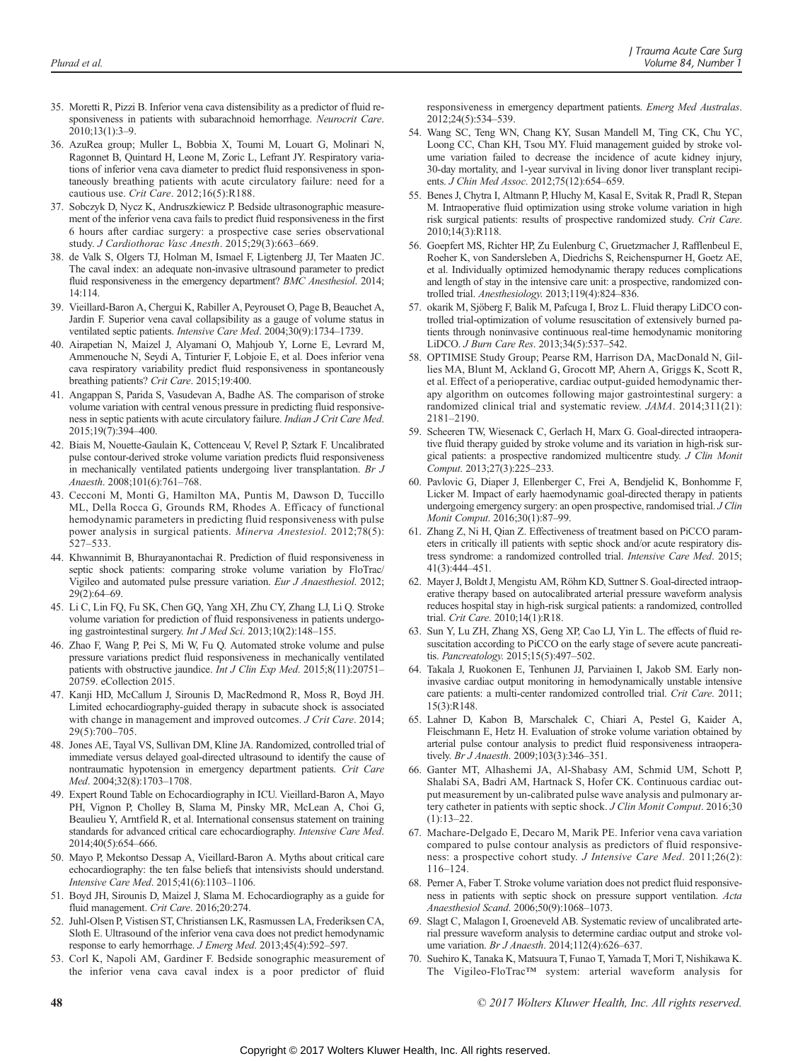- 35. Moretti R, Pizzi B. Inferior vena cava distensibility as a predictor of fluid responsiveness in patients with subarachnoid hemorrhage. Neurocrit Care. 2010;13(1):3–9.
- 36. AzuRea group; Muller L, Bobbia X, Toumi M, Louart G, Molinari N, Ragonnet B, Quintard H, Leone M, Zoric L, Lefrant JY. Respiratory variations of inferior vena cava diameter to predict fluid responsiveness in spontaneously breathing patients with acute circulatory failure: need for a cautious use. Crit Care. 2012;16(5):R188.
- 37. Sobczyk D, Nycz K, Andruszkiewicz P. Bedside ultrasonographic measurement of the inferior vena cava fails to predict fluid responsiveness in the first 6 hours after cardiac surgery: a prospective case series observational study. J Cardiothorac Vasc Anesth. 2015;29(3):663–669.
- 38. de Valk S, Olgers TJ, Holman M, Ismael F, Ligtenberg JJ, Ter Maaten JC. The caval index: an adequate non-invasive ultrasound parameter to predict fluid responsiveness in the emergency department? BMC Anesthesiol. 2014; 14:114.
- 39. Vieillard-Baron A, Chergui K, Rabiller A, Peyrouset O, Page B, Beauchet A, Jardin F. Superior vena caval collapsibility as a gauge of volume status in ventilated septic patients. Intensive Care Med. 2004;30(9):1734–1739.
- 40. Airapetian N, Maizel J, Alyamani O, Mahjoub Y, Lorne E, Levrard M, Ammenouche N, Seydi A, Tinturier F, Lobjoie E, et al. Does inferior vena cava respiratory variability predict fluid responsiveness in spontaneously breathing patients? Crit Care. 2015;19:400.
- 41. Angappan S, Parida S, Vasudevan A, Badhe AS. The comparison of stroke volume variation with central venous pressure in predicting fluid responsiveness in septic patients with acute circulatory failure. Indian J Crit Care Med. 2015;19(7):394–400.
- 42. Biais M, Nouette-Gaulain K, Cottenceau V, Revel P, Sztark F. Uncalibrated pulse contour-derived stroke volume variation predicts fluid responsiveness in mechanically ventilated patients undergoing liver transplantation. Br J Anaesth. 2008;101(6):761–768.
- 43. Cecconi M, Monti G, Hamilton MA, Puntis M, Dawson D, Tuccillo ML, Della Rocca G, Grounds RM, Rhodes A. Efficacy of functional hemodynamic parameters in predicting fluid responsiveness with pulse power analysis in surgical patients. Minerva Anestesiol. 2012;78(5): 527–533.
- 44. Khwannimit B, Bhurayanontachai R. Prediction of fluid responsiveness in septic shock patients: comparing stroke volume variation by FloTrac/ Vigileo and automated pulse pressure variation. Eur J Anaesthesiol. 2012; 29(2):64–69.
- 45. Li C, Lin FQ, Fu SK, Chen GQ, Yang XH, Zhu CY, Zhang LJ, Li Q. Stroke volume variation for prediction of fluid responsiveness in patients undergoing gastrointestinal surgery. Int J Med Sci. 2013;10(2):148–155.
- 46. Zhao F, Wang P, Pei S, Mi W, Fu Q. Automated stroke volume and pulse pressure variations predict fluid responsiveness in mechanically ventilated patients with obstructive jaundice. Int J Clin Exp Med. 2015;8(11):20751-20759. eCollection 2015.
- 47. Kanji HD, McCallum J, Sirounis D, MacRedmond R, Moss R, Boyd JH. Limited echocardiography-guided therapy in subacute shock is associated with change in management and improved outcomes. *J Crit Care*. 2014; 29(5):700–705.
- 48. Jones AE, Tayal VS, Sullivan DM, Kline JA. Randomized, controlled trial of immediate versus delayed goal-directed ultrasound to identify the cause of nontraumatic hypotension in emergency department patients. Crit Care Med. 2004;32(8):1703–1708.
- 49. Expert Round Table on Echocardiography in ICU. Vieillard-Baron A, Mayo PH, Vignon P, Cholley B, Slama M, Pinsky MR, McLean A, Choi G, Beaulieu Y, Arntfield R, et al. International consensus statement on training standards for advanced critical care echocardiography. Intensive Care Med. 2014;40(5):654–666.
- 50. Mayo P, Mekontso Dessap A, Vieillard-Baron A. Myths about critical care echocardiography: the ten false beliefs that intensivists should understand. Intensive Care Med. 2015;41(6):1103–1106.
- 51. Boyd JH, Sirounis D, Maizel J, Slama M. Echocardiography as a guide for fluid management. Crit Care. 2016;20:274.
- 52. Juhl-Olsen P, Vistisen ST, Christiansen LK, Rasmussen LA, Frederiksen CA, Sloth E. Ultrasound of the inferior vena cava does not predict hemodynamic response to early hemorrhage. J Emerg Med. 2013;45(4):592–597.
- 53. Corl K, Napoli AM, Gardiner F. Bedside sonographic measurement of the inferior vena cava caval index is a poor predictor of fluid

responsiveness in emergency department patients. Emerg Med Australas. 2012;24(5):534–539.

- 54. Wang SC, Teng WN, Chang KY, Susan Mandell M, Ting CK, Chu YC, Loong CC, Chan KH, Tsou MY. Fluid management guided by stroke volume variation failed to decrease the incidence of acute kidney injury, 30-day mortality, and 1-year survival in living donor liver transplant recipients. J Chin Med Assoc. 2012;75(12):654–659.
- 55. Benes J, Chytra I, Altmann P, Hluchy M, Kasal E, Svitak R, Pradl R, Stepan M. Intraoperative fluid optimization using stroke volume variation in high risk surgical patients: results of prospective randomized study. Crit Care. 2010;14(3):R118.
- 56. Goepfert MS, Richter HP, Zu Eulenburg C, Gruetzmacher J, Rafflenbeul E, Roeher K, von Sandersleben A, Diedrichs S, Reichenspurner H, Goetz AE, et al. Individually optimized hemodynamic therapy reduces complications and length of stay in the intensive care unit: a prospective, randomized controlled trial. Anesthesiology. 2013;119(4):824–836.
- 57. okarik M, Sjöberg F, Balik M, Pafcuga I, Broz L. Fluid therapy LiDCO controlled trial-optimization of volume resuscitation of extensively burned patients through noninvasive continuous real-time hemodynamic monitoring LiDCO. J Burn Care Res. 2013;34(5):537–542.
- 58. OPTIMISE Study Group; Pearse RM, Harrison DA, MacDonald N, Gillies MA, Blunt M, Ackland G, Grocott MP, Ahern A, Griggs K, Scott R, et al. Effect of a perioperative, cardiac output-guided hemodynamic therapy algorithm on outcomes following major gastrointestinal surgery: a randomized clinical trial and systematic review. JAMA. 2014;311(21): 2181–2190.
- 59. Scheeren TW, Wiesenack C, Gerlach H, Marx G. Goal-directed intraoperative fluid therapy guided by stroke volume and its variation in high-risk surgical patients: a prospective randomized multicentre study. J Clin Monit Comput. 2013;27(3):225–233.
- 60. Pavlovic G, Diaper J, Ellenberger C, Frei A, Bendjelid K, Bonhomme F, Licker M. Impact of early haemodynamic goal-directed therapy in patients undergoing emergency surgery: an open prospective, randomised trial. *J Clin* Monit Comput. 2016;30(1):87–99.
- 61. Zhang Z, Ni H, Qian Z. Effectiveness of treatment based on PiCCO parameters in critically ill patients with septic shock and/or acute respiratory distress syndrome: a randomized controlled trial. Intensive Care Med. 2015; 41(3):444–451.
- 62. Mayer J, Boldt J, Mengistu AM, Röhm KD, Suttner S. Goal-directed intraoperative therapy based on autocalibrated arterial pressure waveform analysis reduces hospital stay in high-risk surgical patients: a randomized, controlled trial. Crit Care. 2010;14(1):R18.
- 63. Sun Y, Lu ZH, Zhang XS, Geng XP, Cao LJ, Yin L. The effects of fluid resuscitation according to PiCCO on the early stage of severe acute pancreatitis. Pancreatology. 2015;15(5):497–502.
- 64. Takala J, Ruokonen E, Tenhunen JJ, Parviainen I, Jakob SM. Early noninvasive cardiac output monitoring in hemodynamically unstable intensive care patients: a multi-center randomized controlled trial. Crit Care. 2011; 15(3):R148.
- 65. Lahner D, Kabon B, Marschalek C, Chiari A, Pestel G, Kaider A, Fleischmann E, Hetz H. Evaluation of stroke volume variation obtained by arterial pulse contour analysis to predict fluid responsiveness intraoperatively. Br J Anaesth. 2009;103(3):346-351.
- 66. Ganter MT, Alhashemi JA, Al-Shabasy AM, Schmid UM, Schott P, Shalabi SA, Badri AM, Hartnack S, Hofer CK. Continuous cardiac output measurement by un-calibrated pulse wave analysis and pulmonary artery catheter in patients with septic shock. J Clin Monit Comput. 2016;30  $(1):13-22.$
- 67. Machare-Delgado E, Decaro M, Marik PE. Inferior vena cava variation compared to pulse contour analysis as predictors of fluid responsiveness: a prospective cohort study. J Intensive Care Med. 2011;26(2): 116–124.
- 68. Perner A, Faber T. Stroke volume variation does not predict fluid responsiveness in patients with septic shock on pressure support ventilation. Acta Anaesthesiol Scand. 2006;50(9):1068–1073.
- 69. Slagt C, Malagon I, Groeneveld AB. Systematic review of uncalibrated arterial pressure waveform analysis to determine cardiac output and stroke volume variation. Br J Anaesth. 2014;112(4):626–637.
- 70. Suehiro K, Tanaka K, Matsuura T, Funao T, Yamada T, Mori T, Nishikawa K. The Vigileo-FloTrac™ system: arterial waveform analysis for